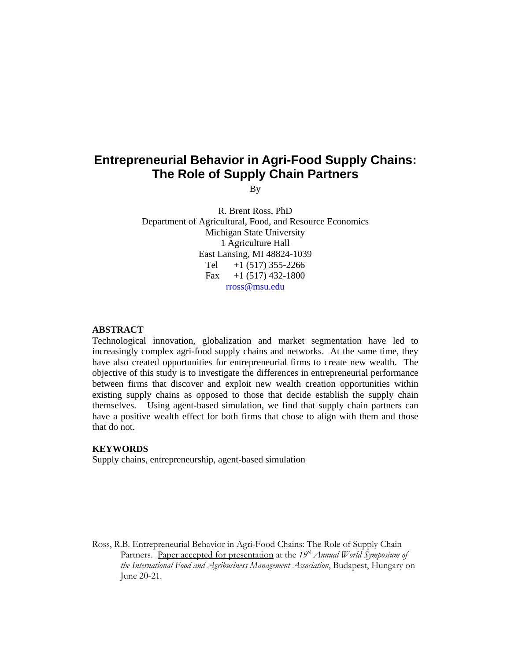# **Entrepreneurial Behavior in Agri-Food Supply Chains: The Role of Supply Chain Partners**

By

R. Brent Ross, PhD Department of Agricultural, Food, and Resource Economics Michigan State University 1 Agriculture Hall East Lansing, MI 48824-1039 Tel  $+1$  (517) 355-2266 Fax  $+1$  (517) 432-1800 rross@msu.edu

#### **ABSTRACT**

Technological innovation, globalization and market segmentation have led to increasingly complex agri-food supply chains and networks. At the same time, they have also created opportunities for entrepreneurial firms to create new wealth. The objective of this study is to investigate the differences in entrepreneurial performance between firms that discover and exploit new wealth creation opportunities within existing supply chains as opposed to those that decide establish the supply chain themselves. Using agent-based simulation, we find that supply chain partners can have a positive wealth effect for both firms that chose to align with them and those that do not.

## **KEYWORDS**

Supply chains, entrepreneurship, agent-based simulation

Ross, R.B. Entrepreneurial Behavior in Agri-Food Chains: The Role of Supply Chain Partners. Paper accepted for presentation at the 19<sup>th</sup> Annual World Symposium of *the International Food and Agribusiness Management Association*, Budapest, Hungary on June 20-21.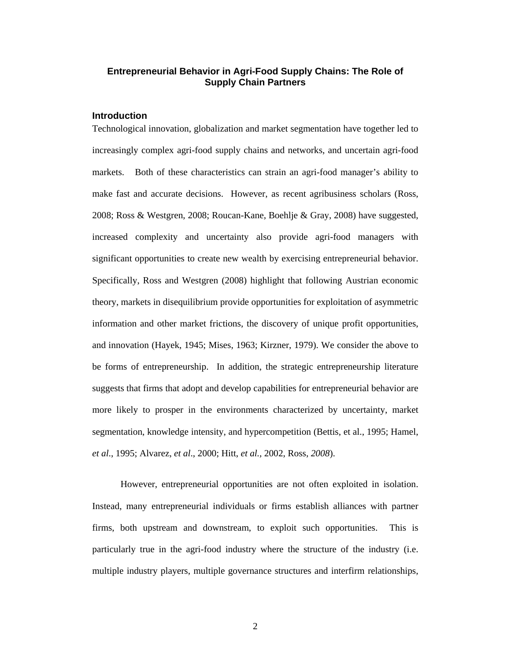# **Entrepreneurial Behavior in Agri-Food Supply Chains: The Role of Supply Chain Partners**

# **Introduction**

Technological innovation, globalization and market segmentation have together led to increasingly complex agri-food supply chains and networks, and uncertain agri-food markets. Both of these characteristics can strain an agri-food manager's ability to make fast and accurate decisions. However, as recent agribusiness scholars (Ross, 2008; Ross & Westgren, 2008; Roucan-Kane, Boehlje & Gray, 2008) have suggested, increased complexity and uncertainty also provide agri-food managers with significant opportunities to create new wealth by exercising entrepreneurial behavior. Specifically, Ross and Westgren (2008) highlight that following Austrian economic theory, markets in disequilibrium provide opportunities for exploitation of asymmetric information and other market frictions, the discovery of unique profit opportunities, and innovation (Hayek, 1945; Mises, 1963; Kirzner, 1979). We consider the above to be forms of entrepreneurship. In addition, the strategic entrepreneurship literature suggests that firms that adopt and develop capabilities for entrepreneurial behavior are more likely to prosper in the environments characterized by uncertainty, market segmentation, knowledge intensity, and hypercompetition (Bettis, et al., 1995; Hamel, *et al*., 1995; Alvarez, *et al*., 2000; Hitt, *et al.,* 2002, Ross, *2008*).

However, entrepreneurial opportunities are not often exploited in isolation. Instead, many entrepreneurial individuals or firms establish alliances with partner firms, both upstream and downstream, to exploit such opportunities. This is particularly true in the agri-food industry where the structure of the industry (i.e. multiple industry players, multiple governance structures and interfirm relationships,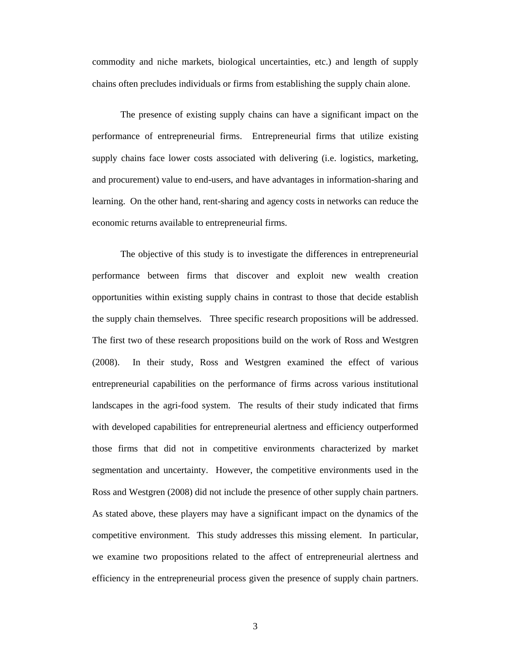commodity and niche markets, biological uncertainties, etc.) and length of supply chains often precludes individuals or firms from establishing the supply chain alone.

The presence of existing supply chains can have a significant impact on the performance of entrepreneurial firms. Entrepreneurial firms that utilize existing supply chains face lower costs associated with delivering (i.e. logistics, marketing, and procurement) value to end-users, and have advantages in information-sharing and learning. On the other hand, rent-sharing and agency costs in networks can reduce the economic returns available to entrepreneurial firms.

The objective of this study is to investigate the differences in entrepreneurial performance between firms that discover and exploit new wealth creation opportunities within existing supply chains in contrast to those that decide establish the supply chain themselves. Three specific research propositions will be addressed. The first two of these research propositions build on the work of Ross and Westgren (2008). In their study, Ross and Westgren examined the effect of various entrepreneurial capabilities on the performance of firms across various institutional landscapes in the agri-food system. The results of their study indicated that firms with developed capabilities for entrepreneurial alertness and efficiency outperformed those firms that did not in competitive environments characterized by market segmentation and uncertainty. However, the competitive environments used in the Ross and Westgren (2008) did not include the presence of other supply chain partners. As stated above, these players may have a significant impact on the dynamics of the competitive environment. This study addresses this missing element. In particular, we examine two propositions related to the affect of entrepreneurial alertness and efficiency in the entrepreneurial process given the presence of supply chain partners.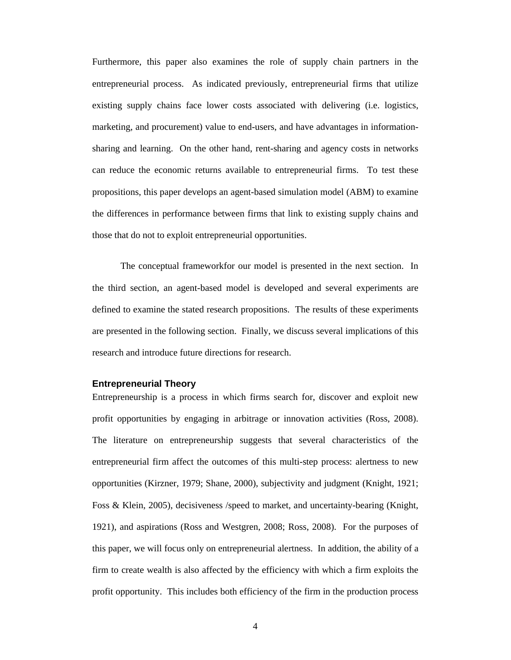Furthermore, this paper also examines the role of supply chain partners in the entrepreneurial process. As indicated previously, entrepreneurial firms that utilize existing supply chains face lower costs associated with delivering (i.e. logistics, marketing, and procurement) value to end-users, and have advantages in informationsharing and learning. On the other hand, rent-sharing and agency costs in networks can reduce the economic returns available to entrepreneurial firms. To test these propositions, this paper develops an agent-based simulation model (ABM) to examine the differences in performance between firms that link to existing supply chains and those that do not to exploit entrepreneurial opportunities.

The conceptual frameworkfor our model is presented in the next section. In the third section, an agent-based model is developed and several experiments are defined to examine the stated research propositions. The results of these experiments are presented in the following section. Finally, we discuss several implications of this research and introduce future directions for research.

#### **Entrepreneurial Theory**

Entrepreneurship is a process in which firms search for, discover and exploit new profit opportunities by engaging in arbitrage or innovation activities (Ross, 2008). The literature on entrepreneurship suggests that several characteristics of the entrepreneurial firm affect the outcomes of this multi-step process: alertness to new opportunities (Kirzner, 1979; Shane, 2000), subjectivity and judgment (Knight, 1921; Foss & Klein, 2005), decisiveness /speed to market, and uncertainty-bearing (Knight, 1921), and aspirations (Ross and Westgren, 2008; Ross, 2008). For the purposes of this paper, we will focus only on entrepreneurial alertness. In addition, the ability of a firm to create wealth is also affected by the efficiency with which a firm exploits the profit opportunity. This includes both efficiency of the firm in the production process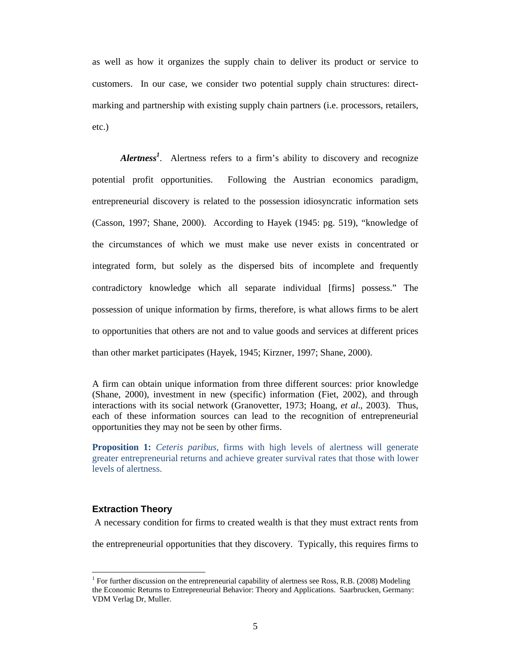as well as how it organizes the supply chain to deliver its product or service to customers. In our case, we consider two potential supply chain structures: directmarking and partnership with existing supply chain partners (i.e. processors, retailers, etc.)

*Alertness<sup>1</sup>* . Alertness refers to a firm's ability to discovery and recognize potential profit opportunities. Following the Austrian economics paradigm, entrepreneurial discovery is related to the possession idiosyncratic information sets (Casson, 1997; Shane, 2000). According to Hayek (1945: pg. 519), "knowledge of the circumstances of which we must make use never exists in concentrated or integrated form, but solely as the dispersed bits of incomplete and frequently contradictory knowledge which all separate individual [firms] possess." The possession of unique information by firms, therefore, is what allows firms to be alert to opportunities that others are not and to value goods and services at different prices than other market participates (Hayek, 1945; Kirzner, 1997; Shane, 2000).

A firm can obtain unique information from three different sources: prior knowledge (Shane, 2000), investment in new (specific) information (Fiet, 2002), and through interactions with its social network (Granovetter, 1973; Hoang, *et al*., 2003). Thus, each of these information sources can lead to the recognition of entrepreneurial opportunities they may not be seen by other firms.

**Proposition 1:** *Ceteris paribus*, firms with high levels of alertness will generate greater entrepreneurial returns and achieve greater survival rates that those with lower levels of alertness.

#### **Extraction Theory**

 $\overline{a}$ 

A necessary condition for firms to created wealth is that they must extract rents from

the entrepreneurial opportunities that they discovery. Typically, this requires firms to

<sup>&</sup>lt;sup>1</sup> For further discussion on the entrepreneurial capability of alertness see Ross, R.B. (2008) Modeling the Economic Returns to Entrepreneurial Behavior: Theory and Applications. Saarbrucken, Germany: VDM Verlag Dr, Muller.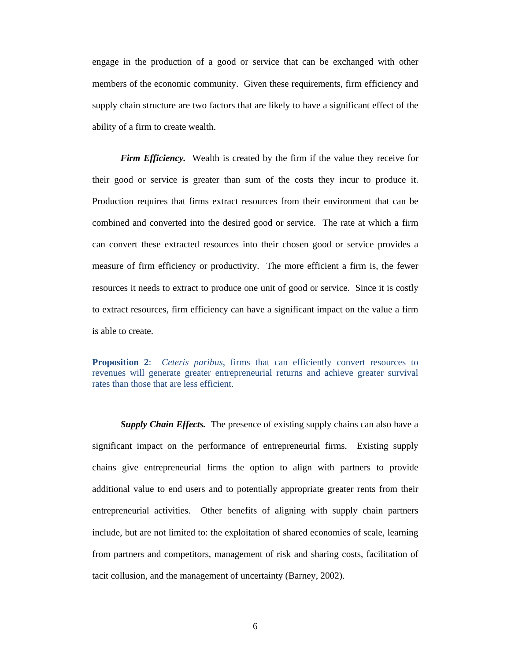engage in the production of a good or service that can be exchanged with other members of the economic community. Given these requirements, firm efficiency and supply chain structure are two factors that are likely to have a significant effect of the ability of a firm to create wealth.

*Firm Efficiency.* Wealth is created by the firm if the value they receive for their good or service is greater than sum of the costs they incur to produce it. Production requires that firms extract resources from their environment that can be combined and converted into the desired good or service. The rate at which a firm can convert these extracted resources into their chosen good or service provides a measure of firm efficiency or productivity. The more efficient a firm is, the fewer resources it needs to extract to produce one unit of good or service. Since it is costly to extract resources, firm efficiency can have a significant impact on the value a firm is able to create.

**Proposition 2**: *Ceteris paribus*, firms that can efficiently convert resources to revenues will generate greater entrepreneurial returns and achieve greater survival rates than those that are less efficient.

*Supply Chain Effects.* The presence of existing supply chains can also have a significant impact on the performance of entrepreneurial firms. Existing supply chains give entrepreneurial firms the option to align with partners to provide additional value to end users and to potentially appropriate greater rents from their entrepreneurial activities. Other benefits of aligning with supply chain partners include, but are not limited to: the exploitation of shared economies of scale, learning from partners and competitors, management of risk and sharing costs, facilitation of tacit collusion, and the management of uncertainty (Barney, 2002).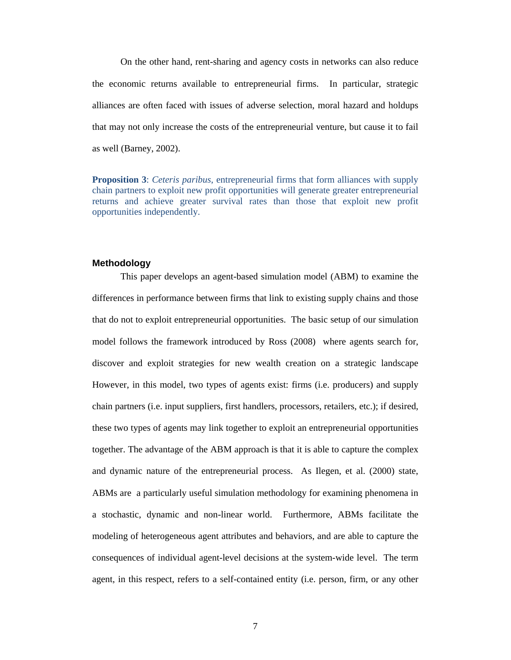On the other hand, rent-sharing and agency costs in networks can also reduce the economic returns available to entrepreneurial firms. In particular, strategic alliances are often faced with issues of adverse selection, moral hazard and holdups that may not only increase the costs of the entrepreneurial venture, but cause it to fail as well (Barney, 2002).

**Proposition 3**: *Ceteris paribus*, entrepreneurial firms that form alliances with supply chain partners to exploit new profit opportunities will generate greater entrepreneurial returns and achieve greater survival rates than those that exploit new profit opportunities independently.

#### **Methodology**

This paper develops an agent-based simulation model (ABM) to examine the differences in performance between firms that link to existing supply chains and those that do not to exploit entrepreneurial opportunities. The basic setup of our simulation model follows the framework introduced by Ross (2008) where agents search for, discover and exploit strategies for new wealth creation on a strategic landscape However, in this model, two types of agents exist: firms (i.e. producers) and supply chain partners (i.e. input suppliers, first handlers, processors, retailers, etc.); if desired, these two types of agents may link together to exploit an entrepreneurial opportunities together. The advantage of the ABM approach is that it is able to capture the complex and dynamic nature of the entrepreneurial process. As Ilegen, et al. (2000) state, ABMs are a particularly useful simulation methodology for examining phenomena in a stochastic, dynamic and non-linear world. Furthermore, ABMs facilitate the modeling of heterogeneous agent attributes and behaviors, and are able to capture the consequences of individual agent-level decisions at the system-wide level. The term agent, in this respect, refers to a self-contained entity (i.e. person, firm, or any other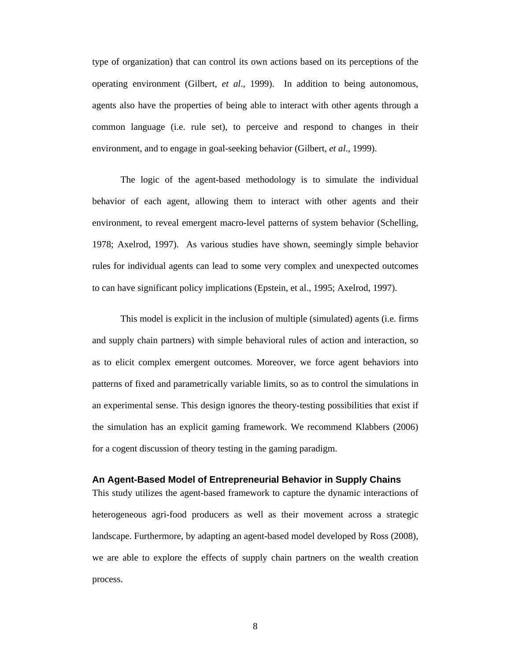type of organization) that can control its own actions based on its perceptions of the operating environment (Gilbert, *et al*., 1999). In addition to being autonomous, agents also have the properties of being able to interact with other agents through a common language (i.e. rule set), to perceive and respond to changes in their environment, and to engage in goal-seeking behavior (Gilbert, *et al*., 1999).

The logic of the agent-based methodology is to simulate the individual behavior of each agent, allowing them to interact with other agents and their environment, to reveal emergent macro-level patterns of system behavior (Schelling, 1978; Axelrod, 1997). As various studies have shown, seemingly simple behavior rules for individual agents can lead to some very complex and unexpected outcomes to can have significant policy implications (Epstein, et al., 1995; Axelrod, 1997).

This model is explicit in the inclusion of multiple (simulated) agents (i.e. firms and supply chain partners) with simple behavioral rules of action and interaction, so as to elicit complex emergent outcomes. Moreover, we force agent behaviors into patterns of fixed and parametrically variable limits, so as to control the simulations in an experimental sense. This design ignores the theory-testing possibilities that exist if the simulation has an explicit gaming framework. We recommend Klabbers (2006) for a cogent discussion of theory testing in the gaming paradigm.

#### **An Agent-Based Model of Entrepreneurial Behavior in Supply Chains**

This study utilizes the agent-based framework to capture the dynamic interactions of heterogeneous agri-food producers as well as their movement across a strategic landscape. Furthermore, by adapting an agent-based model developed by Ross (2008), we are able to explore the effects of supply chain partners on the wealth creation process.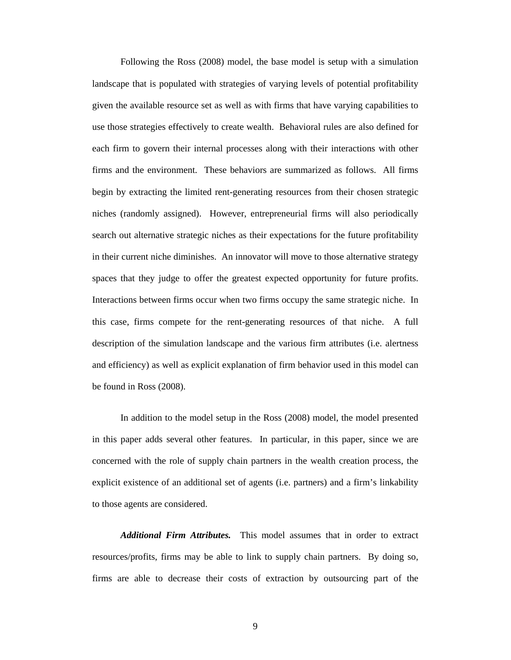Following the Ross (2008) model, the base model is setup with a simulation landscape that is populated with strategies of varying levels of potential profitability given the available resource set as well as with firms that have varying capabilities to use those strategies effectively to create wealth. Behavioral rules are also defined for each firm to govern their internal processes along with their interactions with other firms and the environment. These behaviors are summarized as follows. All firms begin by extracting the limited rent-generating resources from their chosen strategic niches (randomly assigned). However, entrepreneurial firms will also periodically search out alternative strategic niches as their expectations for the future profitability in their current niche diminishes. An innovator will move to those alternative strategy spaces that they judge to offer the greatest expected opportunity for future profits. Interactions between firms occur when two firms occupy the same strategic niche. In this case, firms compete for the rent-generating resources of that niche. A full description of the simulation landscape and the various firm attributes (i.e. alertness and efficiency) as well as explicit explanation of firm behavior used in this model can be found in Ross (2008).

In addition to the model setup in the Ross (2008) model, the model presented in this paper adds several other features. In particular, in this paper, since we are concerned with the role of supply chain partners in the wealth creation process, the explicit existence of an additional set of agents (i.e. partners) and a firm's linkability to those agents are considered.

*Additional Firm Attributes.* This model assumes that in order to extract resources/profits, firms may be able to link to supply chain partners. By doing so, firms are able to decrease their costs of extraction by outsourcing part of the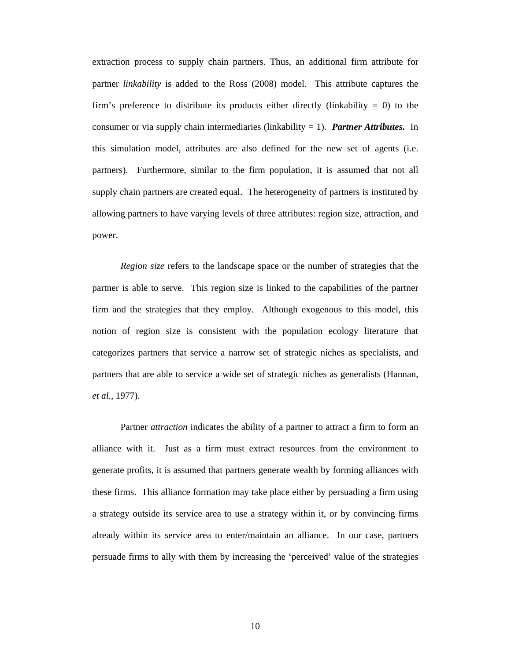extraction process to supply chain partners. Thus, an additional firm attribute for partner *linkability* is added to the Ross (2008) model. This attribute captures the firm's preference to distribute its products either directly (linkability  $= 0$ ) to the consumer or via supply chain intermediaries (linkability = 1). *Partner Attributes.* In this simulation model, attributes are also defined for the new set of agents (i.e. partners). Furthermore, similar to the firm population, it is assumed that not all supply chain partners are created equal. The heterogeneity of partners is instituted by allowing partners to have varying levels of three attributes: region size, attraction, and power.

*Region size* refers to the landscape space or the number of strategies that the partner is able to serve. This region size is linked to the capabilities of the partner firm and the strategies that they employ. Although exogenous to this model, this notion of region size is consistent with the population ecology literature that categorizes partners that service a narrow set of strategic niches as specialists, and partners that are able to service a wide set of strategic niches as generalists (Hannan, *et al*., 1977).

Partner *attraction* indicates the ability of a partner to attract a firm to form an alliance with it. Just as a firm must extract resources from the environment to generate profits, it is assumed that partners generate wealth by forming alliances with these firms. This alliance formation may take place either by persuading a firm using a strategy outside its service area to use a strategy within it, or by convincing firms already within its service area to enter/maintain an alliance. In our case, partners persuade firms to ally with them by increasing the 'perceived' value of the strategies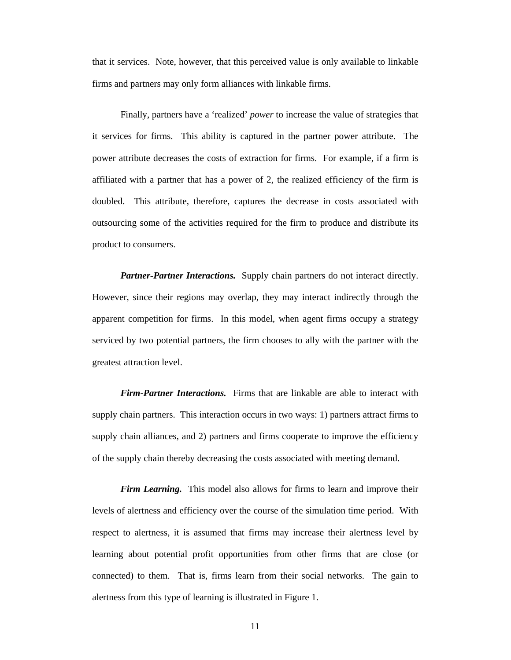that it services. Note, however, that this perceived value is only available to linkable firms and partners may only form alliances with linkable firms.

Finally, partners have a 'realized' *power* to increase the value of strategies that it services for firms. This ability is captured in the partner power attribute. The power attribute decreases the costs of extraction for firms. For example, if a firm is affiliated with a partner that has a power of 2, the realized efficiency of the firm is doubled. This attribute, therefore, captures the decrease in costs associated with outsourcing some of the activities required for the firm to produce and distribute its product to consumers.

*Partner-Partner Interactions.* Supply chain partners do not interact directly. However, since their regions may overlap, they may interact indirectly through the apparent competition for firms. In this model, when agent firms occupy a strategy serviced by two potential partners, the firm chooses to ally with the partner with the greatest attraction level.

*Firm-Partner Interactions.* Firms that are linkable are able to interact with supply chain partners. This interaction occurs in two ways: 1) partners attract firms to supply chain alliances, and 2) partners and firms cooperate to improve the efficiency of the supply chain thereby decreasing the costs associated with meeting demand.

*Firm Learning.* This model also allows for firms to learn and improve their levels of alertness and efficiency over the course of the simulation time period. With respect to alertness, it is assumed that firms may increase their alertness level by learning about potential profit opportunities from other firms that are close (or connected) to them. That is, firms learn from their social networks. The gain to alertness from this type of learning is illustrated in Figure 1.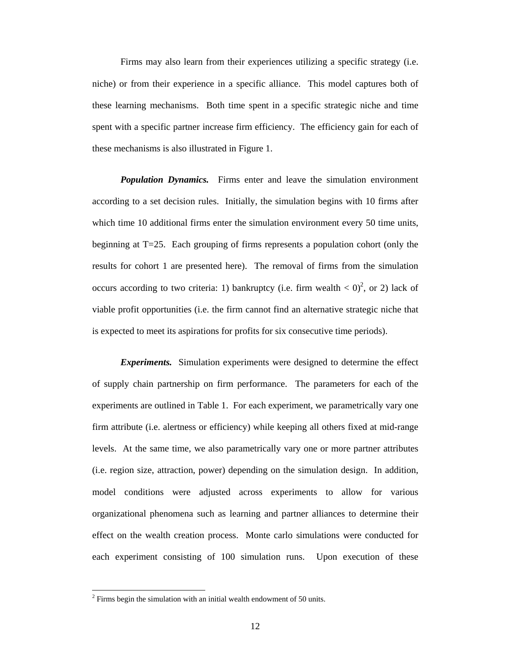Firms may also learn from their experiences utilizing a specific strategy (i.e. niche) or from their experience in a specific alliance. This model captures both of these learning mechanisms. Both time spent in a specific strategic niche and time spent with a specific partner increase firm efficiency. The efficiency gain for each of these mechanisms is also illustrated in Figure 1.

*Population Dynamics.* Firms enter and leave the simulation environment according to a set decision rules. Initially, the simulation begins with 10 firms after which time 10 additional firms enter the simulation environment every 50 time units, beginning at T=25. Each grouping of firms represents a population cohort (only the results for cohort 1 are presented here). The removal of firms from the simulation occurs according to two criteria: 1) bankruptcy (i.e. firm wealth  $\langle 0 \rangle^2$ , or 2) lack of viable profit opportunities (i.e. the firm cannot find an alternative strategic niche that is expected to meet its aspirations for profits for six consecutive time periods).

*Experiments.* Simulation experiments were designed to determine the effect of supply chain partnership on firm performance. The parameters for each of the experiments are outlined in Table 1. For each experiment, we parametrically vary one firm attribute (i.e. alertness or efficiency) while keeping all others fixed at mid-range levels. At the same time, we also parametrically vary one or more partner attributes (i.e. region size, attraction, power) depending on the simulation design. In addition, model conditions were adjusted across experiments to allow for various organizational phenomena such as learning and partner alliances to determine their effect on the wealth creation process. Monte carlo simulations were conducted for each experiment consisting of 100 simulation runs. Upon execution of these

 $\overline{a}$ 

 $2$  Firms begin the simulation with an initial wealth endowment of 50 units.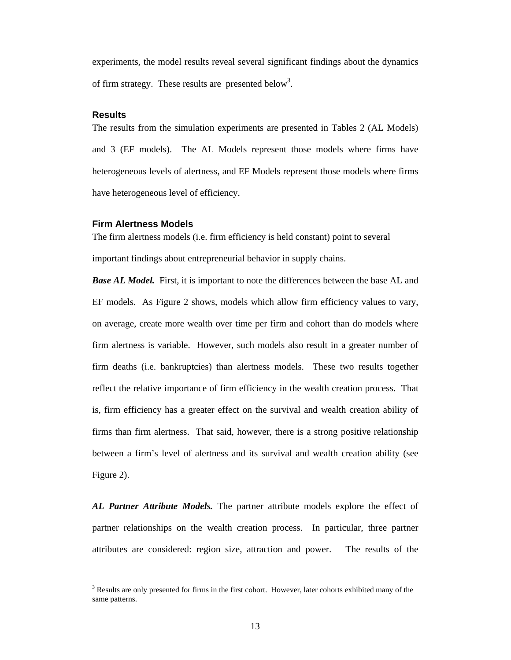experiments, the model results reveal several significant findings about the dynamics of firm strategy. These results are presented below<sup>3</sup>.

#### **Results**

 $\overline{a}$ 

The results from the simulation experiments are presented in Tables 2 (AL Models) and 3 (EF models). The AL Models represent those models where firms have heterogeneous levels of alertness, and EF Models represent those models where firms have heterogeneous level of efficiency.

#### **Firm Alertness Models**

The firm alertness models (i.e. firm efficiency is held constant) point to several important findings about entrepreneurial behavior in supply chains.

*Base AL Model.* First, it is important to note the differences between the base AL and EF models. As Figure 2 shows, models which allow firm efficiency values to vary, on average, create more wealth over time per firm and cohort than do models where firm alertness is variable. However, such models also result in a greater number of firm deaths (i.e. bankruptcies) than alertness models. These two results together reflect the relative importance of firm efficiency in the wealth creation process. That is, firm efficiency has a greater effect on the survival and wealth creation ability of firms than firm alertness. That said, however, there is a strong positive relationship between a firm's level of alertness and its survival and wealth creation ability (see Figure 2).

*AL Partner Attribute Models.* The partner attribute models explore the effect of partner relationships on the wealth creation process. In particular, three partner attributes are considered: region size, attraction and power. The results of the

<sup>&</sup>lt;sup>3</sup> Results are only presented for firms in the first cohort. However, later cohorts exhibited many of the same patterns.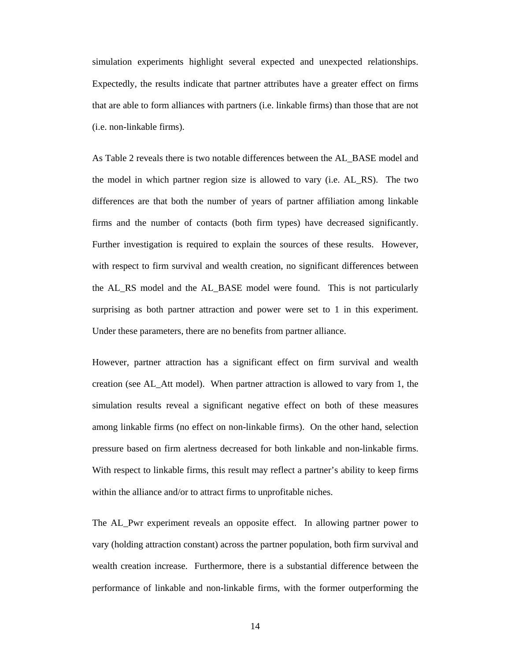simulation experiments highlight several expected and unexpected relationships. Expectedly, the results indicate that partner attributes have a greater effect on firms that are able to form alliances with partners (i.e. linkable firms) than those that are not (i.e. non-linkable firms).

As Table 2 reveals there is two notable differences between the AL\_BASE model and the model in which partner region size is allowed to vary (i.e. AL\_RS). The two differences are that both the number of years of partner affiliation among linkable firms and the number of contacts (both firm types) have decreased significantly. Further investigation is required to explain the sources of these results. However, with respect to firm survival and wealth creation, no significant differences between the AL\_RS model and the AL\_BASE model were found. This is not particularly surprising as both partner attraction and power were set to 1 in this experiment. Under these parameters, there are no benefits from partner alliance.

However, partner attraction has a significant effect on firm survival and wealth creation (see AL\_Att model). When partner attraction is allowed to vary from 1, the simulation results reveal a significant negative effect on both of these measures among linkable firms (no effect on non-linkable firms). On the other hand, selection pressure based on firm alertness decreased for both linkable and non-linkable firms. With respect to linkable firms, this result may reflect a partner's ability to keep firms within the alliance and/or to attract firms to unprofitable niches.

The AL\_Pwr experiment reveals an opposite effect. In allowing partner power to vary (holding attraction constant) across the partner population, both firm survival and wealth creation increase. Furthermore, there is a substantial difference between the performance of linkable and non-linkable firms, with the former outperforming the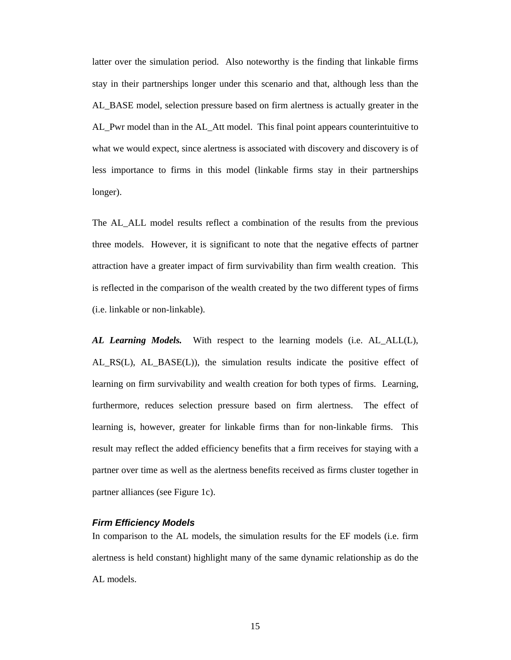latter over the simulation period. Also noteworthy is the finding that linkable firms stay in their partnerships longer under this scenario and that, although less than the AL\_BASE model, selection pressure based on firm alertness is actually greater in the AL\_Pwr model than in the AL\_Att model. This final point appears counterintuitive to what we would expect, since alertness is associated with discovery and discovery is of less importance to firms in this model (linkable firms stay in their partnerships longer).

The AL\_ALL model results reflect a combination of the results from the previous three models. However, it is significant to note that the negative effects of partner attraction have a greater impact of firm survivability than firm wealth creation. This is reflected in the comparison of the wealth created by the two different types of firms (i.e. linkable or non-linkable).

*AL Learning Models.* With respect to the learning models (i.e. AL\_ALL(L), AL\_RS(L), AL\_BASE(L)), the simulation results indicate the positive effect of learning on firm survivability and wealth creation for both types of firms. Learning, furthermore, reduces selection pressure based on firm alertness. The effect of learning is, however, greater for linkable firms than for non-linkable firms. This result may reflect the added efficiency benefits that a firm receives for staying with a partner over time as well as the alertness benefits received as firms cluster together in partner alliances (see Figure 1c).

## *Firm Efficiency Models*

In comparison to the AL models, the simulation results for the EF models (i.e. firm alertness is held constant) highlight many of the same dynamic relationship as do the AL models.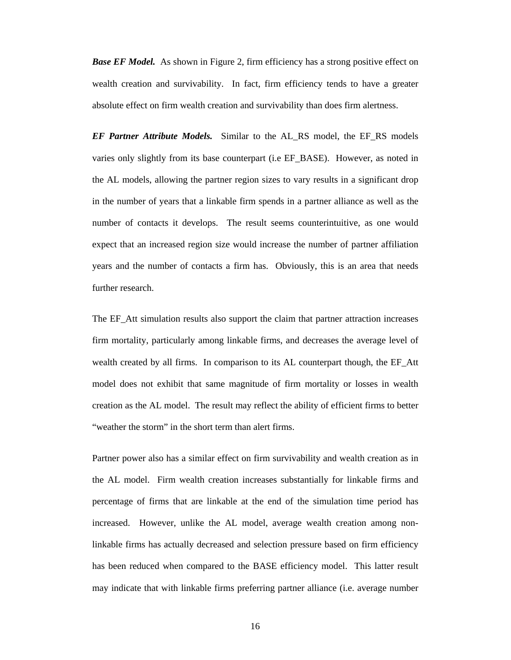*Base EF Model.* As shown in Figure 2, firm efficiency has a strong positive effect on wealth creation and survivability. In fact, firm efficiency tends to have a greater absolute effect on firm wealth creation and survivability than does firm alertness.

*EF Partner Attribute Models.* Similar to the AL\_RS model, the EF\_RS models varies only slightly from its base counterpart (i.e EF\_BASE). However, as noted in the AL models, allowing the partner region sizes to vary results in a significant drop in the number of years that a linkable firm spends in a partner alliance as well as the number of contacts it develops. The result seems counterintuitive, as one would expect that an increased region size would increase the number of partner affiliation years and the number of contacts a firm has. Obviously, this is an area that needs further research.

The EF\_Att simulation results also support the claim that partner attraction increases firm mortality, particularly among linkable firms, and decreases the average level of wealth created by all firms. In comparison to its AL counterpart though, the EF\_Att model does not exhibit that same magnitude of firm mortality or losses in wealth creation as the AL model. The result may reflect the ability of efficient firms to better "weather the storm" in the short term than alert firms.

Partner power also has a similar effect on firm survivability and wealth creation as in the AL model. Firm wealth creation increases substantially for linkable firms and percentage of firms that are linkable at the end of the simulation time period has increased. However, unlike the AL model, average wealth creation among nonlinkable firms has actually decreased and selection pressure based on firm efficiency has been reduced when compared to the BASE efficiency model. This latter result may indicate that with linkable firms preferring partner alliance (i.e. average number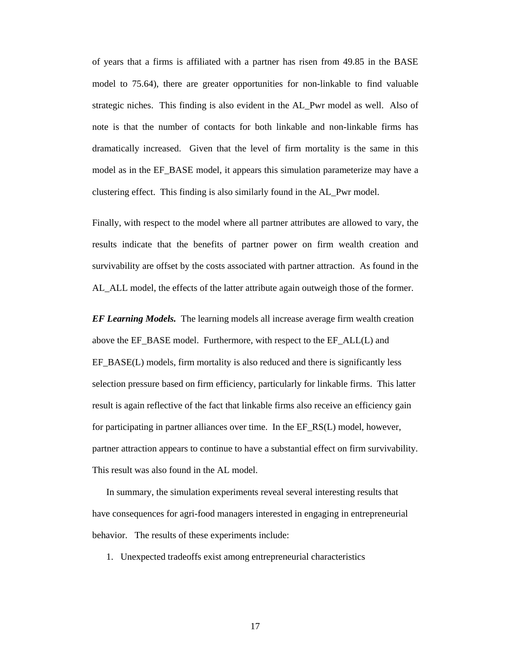of years that a firms is affiliated with a partner has risen from 49.85 in the BASE model to 75.64), there are greater opportunities for non-linkable to find valuable strategic niches. This finding is also evident in the AL\_Pwr model as well. Also of note is that the number of contacts for both linkable and non-linkable firms has dramatically increased. Given that the level of firm mortality is the same in this model as in the EF\_BASE model, it appears this simulation parameterize may have a clustering effect. This finding is also similarly found in the AL\_Pwr model.

Finally, with respect to the model where all partner attributes are allowed to vary, the results indicate that the benefits of partner power on firm wealth creation and survivability are offset by the costs associated with partner attraction. As found in the AL\_ALL model, the effects of the latter attribute again outweigh those of the former.

*EF Learning Models.* The learning models all increase average firm wealth creation above the EF\_BASE model. Furthermore, with respect to the EF\_ALL(L) and EF\_BASE(L) models, firm mortality is also reduced and there is significantly less selection pressure based on firm efficiency, particularly for linkable firms. This latter result is again reflective of the fact that linkable firms also receive an efficiency gain for participating in partner alliances over time. In the EF\_RS(L) model, however, partner attraction appears to continue to have a substantial effect on firm survivability. This result was also found in the AL model.

In summary, the simulation experiments reveal several interesting results that have consequences for agri-food managers interested in engaging in entrepreneurial behavior. The results of these experiments include:

1. Unexpected tradeoffs exist among entrepreneurial characteristics

17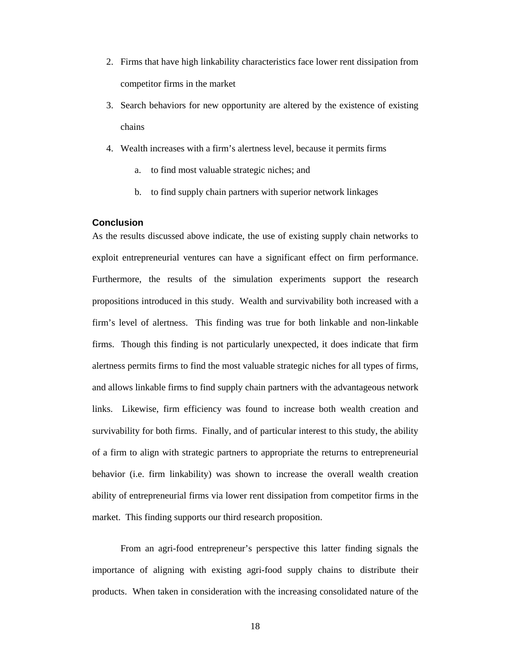- 2. Firms that have high linkability characteristics face lower rent dissipation from competitor firms in the market
- 3. Search behaviors for new opportunity are altered by the existence of existing chains
- 4. Wealth increases with a firm's alertness level, because it permits firms
	- a. to find most valuable strategic niches; and
	- b. to find supply chain partners with superior network linkages

### **Conclusion**

As the results discussed above indicate, the use of existing supply chain networks to exploit entrepreneurial ventures can have a significant effect on firm performance. Furthermore, the results of the simulation experiments support the research propositions introduced in this study. Wealth and survivability both increased with a firm's level of alertness. This finding was true for both linkable and non-linkable firms. Though this finding is not particularly unexpected, it does indicate that firm alertness permits firms to find the most valuable strategic niches for all types of firms, and allows linkable firms to find supply chain partners with the advantageous network links. Likewise, firm efficiency was found to increase both wealth creation and survivability for both firms. Finally, and of particular interest to this study, the ability of a firm to align with strategic partners to appropriate the returns to entrepreneurial behavior (i.e. firm linkability) was shown to increase the overall wealth creation ability of entrepreneurial firms via lower rent dissipation from competitor firms in the market. This finding supports our third research proposition.

From an agri-food entrepreneur's perspective this latter finding signals the importance of aligning with existing agri-food supply chains to distribute their products. When taken in consideration with the increasing consolidated nature of the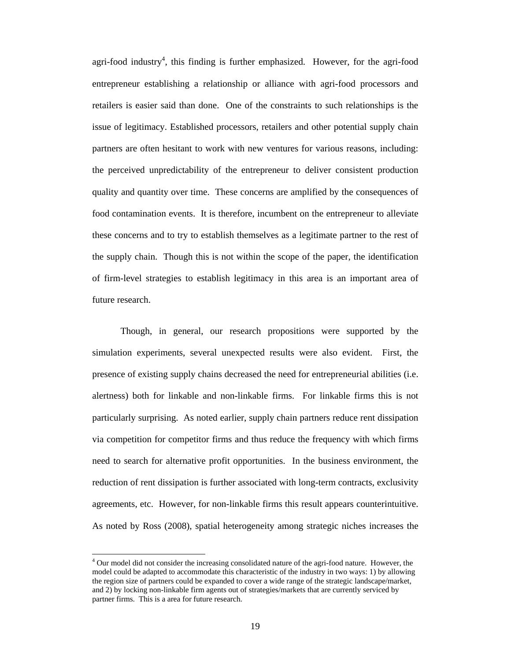agri-food industry<sup>4</sup>, this finding is further emphasized. However, for the agri-food entrepreneur establishing a relationship or alliance with agri-food processors and retailers is easier said than done. One of the constraints to such relationships is the issue of legitimacy. Established processors, retailers and other potential supply chain partners are often hesitant to work with new ventures for various reasons, including: the perceived unpredictability of the entrepreneur to deliver consistent production quality and quantity over time. These concerns are amplified by the consequences of food contamination events. It is therefore, incumbent on the entrepreneur to alleviate these concerns and to try to establish themselves as a legitimate partner to the rest of the supply chain. Though this is not within the scope of the paper, the identification of firm-level strategies to establish legitimacy in this area is an important area of future research.

Though, in general, our research propositions were supported by the simulation experiments, several unexpected results were also evident. First, the presence of existing supply chains decreased the need for entrepreneurial abilities (i.e. alertness) both for linkable and non-linkable firms. For linkable firms this is not particularly surprising. As noted earlier, supply chain partners reduce rent dissipation via competition for competitor firms and thus reduce the frequency with which firms need to search for alternative profit opportunities. In the business environment, the reduction of rent dissipation is further associated with long-term contracts, exclusivity agreements, etc. However, for non-linkable firms this result appears counterintuitive. As noted by Ross (2008), spatial heterogeneity among strategic niches increases the

 $\overline{a}$ 

<sup>&</sup>lt;sup>4</sup> Our model did not consider the increasing consolidated nature of the agri-food nature. However, the model could be adapted to accommodate this characteristic of the industry in two ways: 1) by allowing the region size of partners could be expanded to cover a wide range of the strategic landscape/market, and 2) by locking non-linkable firm agents out of strategies/markets that are currently serviced by partner firms. This is a area for future research.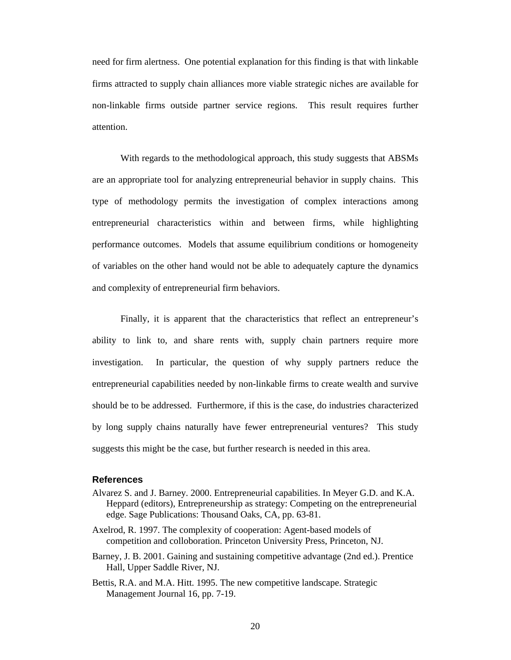need for firm alertness. One potential explanation for this finding is that with linkable firms attracted to supply chain alliances more viable strategic niches are available for non-linkable firms outside partner service regions. This result requires further attention.

With regards to the methodological approach, this study suggests that ABSMs are an appropriate tool for analyzing entrepreneurial behavior in supply chains. This type of methodology permits the investigation of complex interactions among entrepreneurial characteristics within and between firms, while highlighting performance outcomes. Models that assume equilibrium conditions or homogeneity of variables on the other hand would not be able to adequately capture the dynamics and complexity of entrepreneurial firm behaviors.

Finally, it is apparent that the characteristics that reflect an entrepreneur's ability to link to, and share rents with, supply chain partners require more investigation. In particular, the question of why supply partners reduce the entrepreneurial capabilities needed by non-linkable firms to create wealth and survive should be to be addressed. Furthermore, if this is the case, do industries characterized by long supply chains naturally have fewer entrepreneurial ventures? This study suggests this might be the case, but further research is needed in this area.

#### **References**

- Alvarez S. and J. Barney. 2000. Entrepreneurial capabilities. In Meyer G.D. and K.A. Heppard (editors), Entrepreneurship as strategy: Competing on the entrepreneurial edge. Sage Publications: Thousand Oaks, CA, pp. 63-81.
- Axelrod, R. 1997. The complexity of cooperation: Agent-based models of competition and colloboration. Princeton University Press, Princeton, NJ.
- Barney, J. B. 2001. Gaining and sustaining competitive advantage (2nd ed.). Prentice Hall, Upper Saddle River, NJ.
- Bettis, R.A. and M.A. Hitt. 1995. The new competitive landscape. Strategic Management Journal 16, pp. 7-19.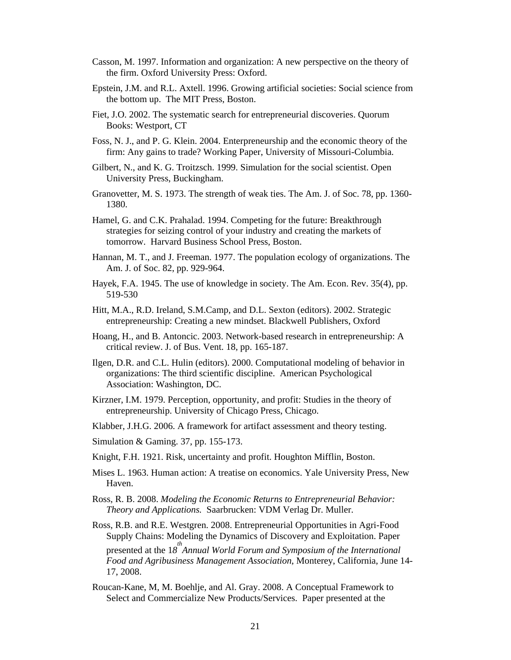- Casson, M. 1997. Information and organization: A new perspective on the theory of the firm. Oxford University Press: Oxford.
- Epstein, J.M. and R.L. Axtell. 1996. Growing artificial societies: Social science from the bottom up. The MIT Press, Boston.
- Fiet, J.O. 2002. The systematic search for entrepreneurial discoveries. Quorum Books: Westport, CT
- Foss, N. J., and P. G. Klein. 2004. Enterpreneurship and the economic theory of the firm: Any gains to trade? Working Paper, University of Missouri-Columbia.
- Gilbert, N., and K. G. Troitzsch. 1999. Simulation for the social scientist. Open University Press, Buckingham.
- Granovetter, M. S. 1973. The strength of weak ties. The Am. J. of Soc. 78, pp. 1360- 1380.
- Hamel, G. and C.K. Prahalad. 1994. Competing for the future: Breakthrough strategies for seizing control of your industry and creating the markets of tomorrow. Harvard Business School Press, Boston.
- Hannan, M. T., and J. Freeman. 1977. The population ecology of organizations. The Am. J. of Soc. 82, pp. 929-964.
- Hayek, F.A. 1945. The use of knowledge in society. The Am. Econ. Rev. 35(4), pp. 519-530
- Hitt, M.A., R.D. Ireland, S.M.Camp, and D.L. Sexton (editors). 2002. Strategic entrepreneurship: Creating a new mindset. Blackwell Publishers, Oxford
- Hoang, H., and B. Antoncic. 2003. Network-based research in entrepreneurship: A critical review. J. of Bus. Vent. 18, pp. 165-187.
- Ilgen, D.R. and C.L. Hulin (editors). 2000. Computational modeling of behavior in organizations: The third scientific discipline. American Psychological Association: Washington, DC.
- Kirzner, I.M. 1979. Perception, opportunity, and profit: Studies in the theory of entrepreneurship. University of Chicago Press, Chicago.
- Klabber, J.H.G. 2006. A framework for artifact assessment and theory testing.
- Simulation & Gaming. 37, pp. 155-173.
- Knight, F.H. 1921. Risk, uncertainty and profit. Houghton Mifflin, Boston.
- Mises L. 1963. Human action: A treatise on economics. Yale University Press, New Haven.
- Ross, R. B. 2008. *Modeling the Economic Returns to Entrepreneurial Behavior: Theory and Applications.* Saarbrucken: VDM Verlag Dr. Muller.
- Ross, R.B. and R.E. Westgren. 2008. Entrepreneurial Opportunities in Agri-Food Supply Chains: Modeling the Dynamics of Discovery and Exploitation. Paper presented at the 18<sup>th</sup> Annual World Forum and Symposium of the International *Food and Agribusiness Management Association*, Monterey, California, June 14- 17, 2008.
- Roucan-Kane, M, M. Boehlje, and Al. Gray. 2008. A Conceptual Framework to Select and Commercialize New Products/Services. Paper presented at the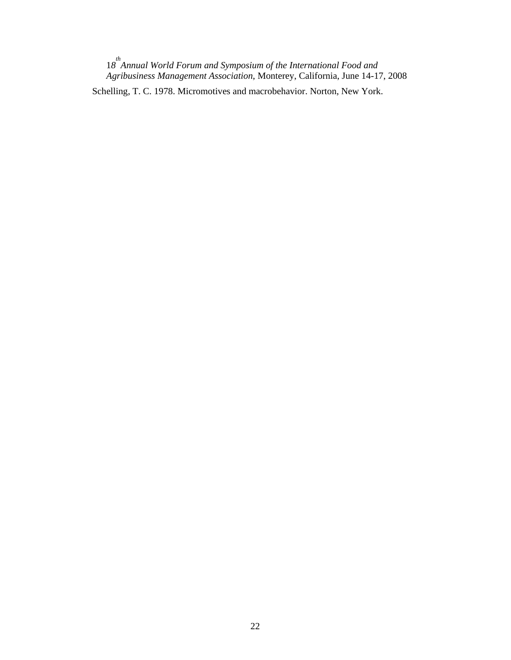1*8 th Annual World Forum and Symposium of the International Food and Agribusiness Management Association*, Monterey, California, June 14-17, 2008 Schelling, T. C. 1978. Micromotives and macrobehavior. Norton, New York.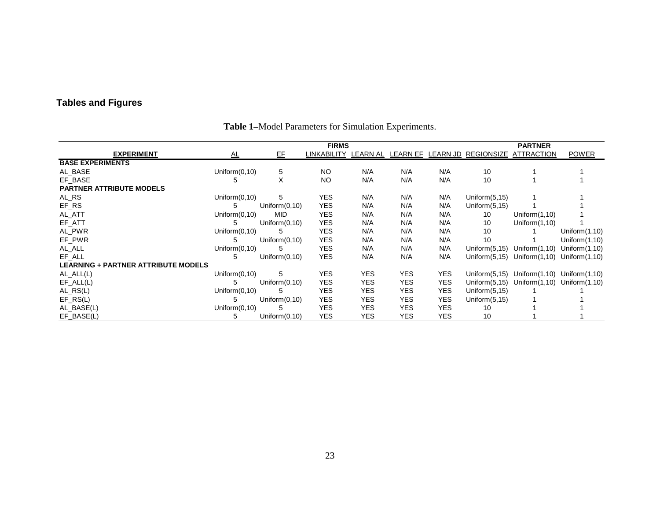# **Tables and Figures**

|                                            | <b>FIRMS</b><br><b>PARTNER</b> |                  |             |            |            |            |                                                  |                  |                  |  |  |  |  |  |
|--------------------------------------------|--------------------------------|------------------|-------------|------------|------------|------------|--------------------------------------------------|------------------|------------------|--|--|--|--|--|
| <b>EXPERIMENT</b>                          | <u>AL</u>                      | EE               | LINKABILITY |            |            |            | LEARN AL LEARN EF LEARN JD REGIONSIZE ATTRACTION |                  | <b>POWER</b>     |  |  |  |  |  |
| <b>BASE EXPERIMENTS</b>                    |                                |                  |             |            |            |            |                                                  |                  |                  |  |  |  |  |  |
| AL_BASE                                    | Uniform $(0,10)$               | 5                | <b>NO</b>   | N/A        | N/A        | N/A        | 10                                               |                  |                  |  |  |  |  |  |
| EF BASE                                    | 5                              | X                | <b>NO</b>   | N/A        | N/A        | N/A        | 10                                               |                  |                  |  |  |  |  |  |
| <b>PARTNER ATTRIBUTE MODELS</b>            |                                |                  |             |            |            |            |                                                  |                  |                  |  |  |  |  |  |
| AL_RS                                      | Uniform $(0,10)$               | 5                | <b>YES</b>  | N/A        | N/A        | N/A        | Uniform $(5, 15)$                                |                  |                  |  |  |  |  |  |
| EF_RS                                      | 5                              | Uniform $(0,10)$ | <b>YES</b>  | N/A        | N/A        | N/A        | Uniform $(5, 15)$                                |                  |                  |  |  |  |  |  |
| AL_ATT                                     | Uniform $(0,10)$               | <b>MID</b>       | <b>YES</b>  | N/A        | N/A        | N/A        | 10                                               | Uniform $(1,10)$ |                  |  |  |  |  |  |
| EF_ATT                                     | 5                              | Uniform $(0,10)$ | <b>YES</b>  | N/A        | N/A        | N/A        | 10                                               | Uniform $(1,10)$ |                  |  |  |  |  |  |
| AL_PWR                                     | Uniform $(0,10)$               | 5                | <b>YES</b>  | N/A        | N/A        | N/A        | 10                                               |                  | Uniform $(1,10)$ |  |  |  |  |  |
| EF_PWR                                     | 5                              | Uniform $(0,10)$ | <b>YES</b>  | N/A        | N/A        | N/A        | 10                                               |                  | Uniform $(1,10)$ |  |  |  |  |  |
| AL_ALL                                     | Uniform $(0,10)$               | 5                | <b>YES</b>  | N/A        | N/A        | N/A        | Uniform $(5, 15)$                                | Uniform $(1,10)$ | Uniform $(1,10)$ |  |  |  |  |  |
| EF ALL                                     | 5                              | Uniform (0,10)   | <b>YES</b>  | N/A        | N/A        | N/A        | Uniform $(5, 15)$                                | Uniform $(1,10)$ | Uniform $(1,10)$ |  |  |  |  |  |
| <b>LEARNING + PARTNER ATTRIBUTE MODELS</b> |                                |                  |             |            |            |            |                                                  |                  |                  |  |  |  |  |  |
| $AL\_ALL(L)$                               | Uniform $(0,10)$               | 5                | <b>YES</b>  | <b>YES</b> | <b>YES</b> | <b>YES</b> | Uniform $(5, 15)$                                | Uniform $(1,10)$ | Uniform $(1,10)$ |  |  |  |  |  |
| $EF\_ALL(L)$                               | 5                              | Uniform $(0,10)$ | <b>YES</b>  | <b>YES</b> | <b>YES</b> | <b>YES</b> | Uniform $(5, 15)$                                | Uniform $(1,10)$ | Uniform $(1,10)$ |  |  |  |  |  |
| $AL_RS(L)$                                 | Uniform $(0,10)$               | 5                | <b>YES</b>  | <b>YES</b> | <b>YES</b> | <b>YES</b> | Uniform $(5, 15)$                                |                  |                  |  |  |  |  |  |
| $EF_RS(L)$                                 | 5                              | Uniform $(0,10)$ | <b>YES</b>  | <b>YES</b> | <b>YES</b> | <b>YES</b> | Uniform $(5, 15)$                                |                  |                  |  |  |  |  |  |
| AL_BASE(L)                                 | Uniform $(0,10)$               | 5                | <b>YES</b>  | <b>YES</b> | <b>YES</b> | <b>YES</b> | 10                                               |                  |                  |  |  |  |  |  |
| EF_BASE(L)                                 | 5                              | Uniform $(0,10)$ | <b>YES</b>  | <b>YES</b> | <b>YES</b> | <b>YES</b> | 10                                               |                  |                  |  |  |  |  |  |

# **Table 1–**Model Parameters for Simulation Experiments.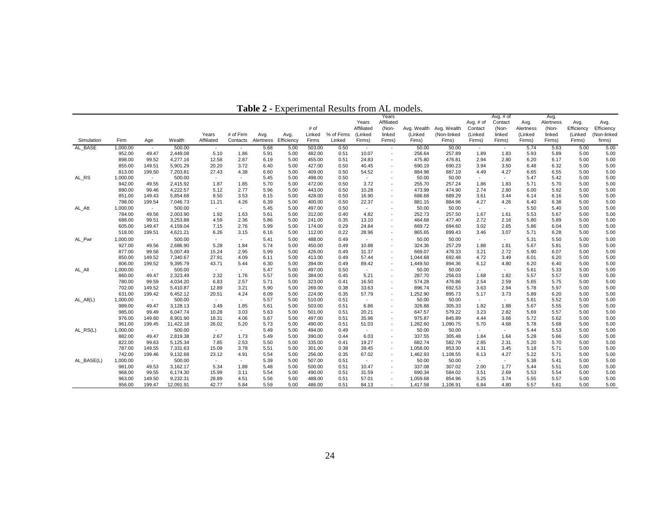| Affiliated<br>Contact<br>Alertness<br>Years<br>Avg. $#$ of<br>Avg.<br>Avg.<br>Avg.<br># of<br>Affiliated<br>(Non-<br>Efficiency<br>(Non-<br>Avg. Wealth Avg. Wealth<br>(Non-<br>Efficiency<br>Contact<br>Alertness<br>Years<br># of Firm<br>% of Firms<br>linked<br>(Linked<br>(Non-linked<br>(Linked<br>linked<br>linked<br>(Linked<br>(Non-linked<br>Avg.<br>Avg.<br>Linked<br>(Linked<br>(Linked<br>Firm<br>Efficiency<br>Firms<br>Linked<br>firms)<br>Simulation<br>Age<br>Wealth<br>Affiliated<br>Contacts<br>Alertness<br>Firms)<br>Firms)<br>Fims)<br>Fims)<br>Firms)<br>Firms)<br>Firms)<br>Firms)<br>Firms)<br>5.68<br>0.50<br>5.00<br>AL BASE<br>1,000.00<br>500.00<br>5.00<br>503.00<br>50.00<br>50.00<br>5.74<br>5.63<br>5.00<br>$\sim$<br>$\sim$<br>$\overline{\phantom{a}}$<br>$\overline{\phantom{a}}$<br>$\overline{\phantom{a}}$<br>$\overline{\phantom{a}}$<br>952.00<br>257.89<br>5.93<br>5.00<br>49.47<br>2,449.08<br>5.10<br>1.86<br>5.91<br>5.00<br>482.00<br>0.51<br>10.07<br>256.64<br>1.89<br>1.83<br>5.89<br>5.00<br>$\sim$<br>898.00<br>99.52<br>4,277.16<br>12.58<br>2.87<br>6.19<br>5.00<br>455.00<br>0.51<br>24.83<br>475.80<br>476.81<br>2.94<br>2.80<br>6.20<br>6.17<br>5.00<br>5.00<br>$\sim$<br>855.00<br>149.51<br>3.72<br>6.40<br>427.00<br>0.50<br>690.23<br>3.50<br>6.48<br>6.32<br>5.00<br>5.00<br>5,901.29<br>20.20<br>5.00<br>40.45<br>690.19<br>3.94<br>813.00<br>199.50<br>7,203.81<br>27.43<br>4.38<br>6.60<br>5.00<br>409.00<br>0.50<br>54.52<br>887.19<br>4.49<br>4.27<br>6.65<br>6.55<br>5.00<br>5.00<br>884.98<br>$\sim$<br>500.00<br>0.50<br>5.00<br>AL_RS<br>1,000.00<br>5.45<br>5.00<br>498.00<br>50.00<br>50.00<br>5.47<br>5.42<br>5.00<br>$\sim$<br>$\sim$<br>$\sim$<br>$\sim$<br>$\sim$<br>$\sim$<br>942.00<br>49.55<br>2,415.92<br>1.87<br>5.70<br>472.00<br>0.50<br>3.72<br>257.24<br>1.83<br>5.71<br>5.70<br>5.00<br>1.85<br>5.00<br>255.70<br>1.86<br>5.00<br>$\sim$<br>4,222.57<br>890.00<br>99.46<br>5.12<br>2.77<br>5.96<br>5.00<br>443.00<br>0.50<br>10.28<br>473.99<br>474.90<br>2.74<br>2.80<br>6.00<br>5.92<br>5.00<br>5.00<br>$\sim$<br>8.50<br>3.53<br>5.00<br>428.00<br>0.50<br>689.29<br>5.00<br>5.00<br>851.00<br>149.43<br>5,854.68<br>6.15<br>16.90<br>686.68<br>3.61<br>3.44<br>6.14<br>6.16<br>$\sim$<br>798.00<br>199.54<br>7,046.73<br>4.26<br>6.39<br>5.00<br>400.00<br>0.50<br>22.37<br>884.96<br>4.27<br>4.26<br>6.40<br>6.38<br>5.00<br>5.00<br>11.21<br>881.15<br>$\sim$<br>497.00<br>0.50<br>50.00<br>5.50<br>5.00<br>1,000.00<br>500.00<br>5.45<br>5.00<br>50.00<br>5.40<br>5.00<br>AL Att<br>$\sim$<br>$\sim$<br>$\sim$<br>$\sim$<br>$\sim$<br>$\sim$<br>49.56<br>2,003.90<br>1.92<br>4.82<br>257.50<br>1.67<br>1.61<br>5.53<br>5.67<br>5.00<br>784.00<br>1.63<br>5.61<br>5.00<br>312.00<br>0.40<br>252.73<br>5.00<br>$\overline{\phantom{a}}$<br>2.72<br>5.80<br>688.00<br>99.51<br>3,253.88<br>4.59<br>2.36<br>5.86<br>5.00<br>241.00<br>0.35<br>13.10<br>464.68<br>477.40<br>2.16<br>5.89<br>5.00<br>5.00<br>$\overline{a}$<br>605.00<br>149.47<br>4,159.04<br>7.15<br>2.76<br>5.99<br>0.29<br>24.84<br>669.72<br>694.60<br>3.02<br>2.65<br>5.86<br>6.04<br>5.00<br>5.00<br>5.00<br>174.00<br>$\sim$<br>199.51<br>6.26<br>3.15<br>5.00<br>0.22<br>28.96<br>3.46<br>3.07<br>6.28<br>5.00<br>5.00<br>518.00<br>4,621.21<br>6.16<br>112.00<br>865.65<br>899.43<br>5.71<br>$\sim$<br>1,000.00<br>500.00<br>5.41<br>5.00<br>488.00<br>0.49<br>50.00<br>50.00<br>5.31<br>5.50<br>5.00<br>5.00<br>AL Pwr<br>$\sim$<br>$\sim$<br>$\sim$<br>$\sim$<br>$\sim$<br>$\sim$<br>$\sim$<br>49.56<br>5.28<br>927.00<br>2,686.90<br>1.84<br>5.74<br>5.00<br>450.00<br>0.49<br>10.88<br>324.36<br>257.29<br>1.88<br>1.81<br>5.67<br>5.81<br>5.00<br>5.00<br>$\sim$<br>877.00<br>5,007.49<br>15.24<br>2.95<br>5.99<br>31.37<br>669.07<br>478.33<br>2.72<br>6.07<br>5.00<br>99.56<br>5.00<br>426.00<br>0.49<br>3.21<br>5.90<br>5.00<br>$\sim$<br>850.00<br>149.52<br>27.91<br>5.00<br>413.00<br>0.49<br>57.44<br>4.72<br>3.49<br>6.01<br>6.20<br>5.00<br>5.00<br>7,340.67<br>4.09<br>6.11<br>1,044.68<br>692.48<br>$\overline{\phantom{a}}$<br>1,449.50<br>6.12<br>806.00<br>199.52<br>9,395.79<br>43.71<br>5.44<br>6.30<br>5.00<br>394.00<br>0.49<br>89.42<br>894.36<br>4.80<br>6.20<br>6.40<br>5.00<br>5.00<br>$\sim$<br>1,000.00<br>500.00<br>5.47<br>5.00<br>497.00<br>0.50<br>50.00<br>50.00<br>5.33<br>5.00<br>5.61<br>5.00<br>AL All<br>$\sim$<br>$\sim$<br>$\sim$<br>$\sim$<br>$\sim$<br>$\sim$<br>$\sim$<br>860.00<br>49.47<br>2,323.49<br>2.32<br>5.57<br>5.21<br>1.82<br>5.57<br>5.00<br>1.76<br>5.00<br>384.00<br>0.45<br>287.70<br>256.03<br>1.68<br>5.57<br>5.00<br>99.59<br>6.83<br>5.71<br>323.00<br>2.54<br>2.59<br>5.75<br>5.00<br>780.00<br>4,034.20<br>2.57<br>5.00<br>0.41<br>16.50<br>574.28<br>476.86<br>5.65<br>5.00<br>$\sim$<br>702.00<br>149.52<br>5,410.87<br>12.89<br>5.90<br>5.00<br>269.00<br>0.38<br>33.63<br>896.74<br>692.53<br>3.63<br>5.78<br>5.97<br>5.00<br>3.21<br>2.94<br>5.00<br>$\sim$<br>199.42<br>0.35<br>1,252.90<br>895.73<br>5.17<br>3.73<br>5.89<br>6.20<br>5.00<br>631.00<br>6,452.12<br>20.51<br>4.24<br>6.09<br>5.00<br>224.00<br>57.79<br>5.00<br>5.57<br>0.51<br>50.00<br>5.52<br>$AL$ <sub>-All</sub> (L)<br>1,000.00<br>500.00<br>5.00<br>510.00<br>50.00<br>5.61<br>5.00<br>5.00<br>$\sim$<br>$\sim$<br>$\sim$<br>$\sim$<br>$\overline{a}$<br>$\sim$<br>$\overline{a}$<br>989.00<br>3,128.13<br>326.88<br>305.33<br>1.82<br>5.67<br>5.55<br>5.00<br>49.47<br>3.49<br>1.85<br>5.61<br>5.00<br>503.00<br>0.51<br>6.86<br>1.88<br>5.00<br>$\sim$<br>5.57<br>985.00<br>99.49<br>6,047.74<br>10.28<br>3.03<br>5.63<br>5.00<br>501.00<br>0.51<br>20.21<br>647.57<br>579.22<br>3.23<br>2.82<br>5.69<br>5.00<br>5.00<br>976.00<br>5.67<br>975.87<br>845.89<br>5.72<br>5.00<br>149.60<br>8,901.90<br>18.31<br>4.06<br>5.00<br>497.00<br>0.51<br>35.96<br>4.44<br>3.66<br>5.62<br>5.00<br>$\sim$<br>961.00<br>11,422.18<br>5.73<br>5.00<br>490.00<br>0.51<br>1,282.60<br>5.70<br>5.78<br>5.68<br>5.00<br>199.45<br>26.02<br>5.20<br>51.03<br>1,090.75<br>4.68<br>5.00<br>$\sim$<br>0.49<br>50.00<br>$AL_RS(L)$<br>1,000.00<br>500.00<br>5.49<br>5.00<br>494.00<br>50.00<br>5.44<br>5.53<br>5.00<br>5.00<br>$\sim$<br>$\sim$<br>$\overline{a}$<br>$\sim$<br>$\sim$<br>$\sim$<br>882.00<br>49.47<br>2,819.38<br>2.67<br>6.03<br>337.55<br>5.00<br>1.73<br>5.49<br>5.00<br>390.00<br>0.44<br>305.48<br>1.84<br>1.64<br>5.28<br>5.66<br>5.00<br>$\sim$<br>822.00<br>99.63<br>2.53<br>5.50<br>682.74<br>582.79<br>2.31<br>5.20<br>5.00<br>5,125.34<br>7.85<br>5.00<br>335.00<br>0.41<br>19.27<br>2.85<br>5.70<br>5.00<br>787.00<br>0.38<br>5.71<br>149.55<br>7,331.63<br>15.09<br>3.78<br>5.51<br>5.00<br>301.00<br>1,058.00<br>853.30<br>4.31<br>3.45<br>5.18<br>5.00<br>5.00<br>39.45<br>$\overline{\phantom{a}}$<br>742.00<br>199.46<br>9,132.68<br>23.12<br>4.91<br>5.54<br>5.00<br>256.00<br>0.35<br>67.02<br>1,462.93<br>1,108.55<br>6.13<br>4.27<br>5.22<br>5.71<br>5.00<br>5.00<br>$\sim$<br>AL_BASE(L)<br>500.00<br>5.38<br>5.00<br>1,000.00<br>5.39<br>5.00<br>507.00<br>0.51<br>50.00<br>50.00<br>5.41<br>5.00<br>$\sim$<br>$\sim$<br>$\sim$<br>$\sim$<br>$\sim$<br>$\sim$<br>49.53<br>3,162.17<br>5.34<br>0.51<br>337.08<br>307.02<br>1.77<br>5.51<br>5.00<br>981.00<br>1.88<br>5.48<br>5.00<br>500.00<br>10.47<br>2.00<br>5.44<br>5.00<br>$\overline{a}$<br>968.00<br>99.55<br>6,174.30<br>15.99<br>3.11<br>5.54<br>5.00<br>490.00<br>0.51<br>31.59<br>690.34<br>584.02<br>3.51<br>2.69<br>5.53<br>5.54<br>5.00<br>5.00<br>$\sim$ |        |        |          |       |      |      |      |        |      |       | Years |          |        |      | Avg. $#$ of |      | Avg. |      |      |
|-----------------------------------------------------------------------------------------------------------------------------------------------------------------------------------------------------------------------------------------------------------------------------------------------------------------------------------------------------------------------------------------------------------------------------------------------------------------------------------------------------------------------------------------------------------------------------------------------------------------------------------------------------------------------------------------------------------------------------------------------------------------------------------------------------------------------------------------------------------------------------------------------------------------------------------------------------------------------------------------------------------------------------------------------------------------------------------------------------------------------------------------------------------------------------------------------------------------------------------------------------------------------------------------------------------------------------------------------------------------------------------------------------------------------------------------------------------------------------------------------------------------------------------------------------------------------------------------------------------------------------------------------------------------------------------------------------------------------------------------------------------------------------------------------------------------------------------------------------------------------------------------------------------------------------------------------------------------------------------------------------------------------------------------------------------------------------------------------------------------------------------------------------------------------------------------------------------------------------------------------------------------------------------------------------------------------------------------------------------------------------------------------------------------------------------------------------------------------------------------------------------------------------------------------------------------------------------------------------------------------------------------------------------------------------------------------------------------------------------------------------------------------------------------------------------------------------------------------------------------------------------------------------------------------------------------------------------------------------------------------------------------------------------------------------------------------------------------------------------------------------------------------------------------------------------------------------------------------------------------------------------------------------------------------------------------------------------------------------------------------------------------------------------------------------------------------------------------------------------------------------------------------------------------------------------------------------------------------------------------------------------------------------------------------------------------------------------------------------------------------------------------------------------------------------------------------------------------------------------------------------------------------------------------------------------------------------------------------------------------------------------------------------------------------------------------------------------------------------------------------------------------------------------------------------------------------------------------------------------------------------------------------------------------------------------------------------------------------------------------------------------------------------------------------------------------------------------------------------------------------------------------------------------------------------------------------------------------------------------------------------------------------------------------------------------------------------------------------------------------------------------------------------------------------------------------------------------------------------------------------------------------------------------------------------------------------------------------------------------------------------------------------------------------------------------------------------------------------------------------------------------------------------------------------------------------------------------------------------------------------------------------------------------------------------------------------------------------------------------------------------------------------------------------------------------------------------------------------------------------------------------------------------------------------------------------------------------------------------------------------------------------------------------------------------------------------------------------------------------------------------------------------------------------------------------------------------------------------------------------------------------------------------------------------------------------------------------------------------------------------------------------------------------------------------------------------------------------------------------------------------------------------------------------------------------------------------------------------------------------------------------------------------------------------------------------------------------------------------------------------------------------------------------------------------------------------------------------------------------------------------------------------------------------------------------------------------------------------------------------------------------------------------------------------------------------------------------------------------------------------------------------------------------------------------------------------------------------------------------------------------------------------------------------------------------------------------------------------------------------------------------------------------------------------------------------------------------------------------------------------------------------------------------------------------------------------------------------------------------------------------------------------------------------------------------------------------------------------------------------------------------------------------------------------------------------------------------------------------------------------------------------------------------------------------------|--------|--------|----------|-------|------|------|------|--------|------|-------|-------|----------|--------|------|-------------|------|------|------|------|
|                                                                                                                                                                                                                                                                                                                                                                                                                                                                                                                                                                                                                                                                                                                                                                                                                                                                                                                                                                                                                                                                                                                                                                                                                                                                                                                                                                                                                                                                                                                                                                                                                                                                                                                                                                                                                                                                                                                                                                                                                                                                                                                                                                                                                                                                                                                                                                                                                                                                                                                                                                                                                                                                                                                                                                                                                                                                                                                                                                                                                                                                                                                                                                                                                                                                                                                                                                                                                                                                                                                                                                                                                                                                                                                                                                                                                                                                                                                                                                                                                                                                                                                                                                                                                                                                                                                                                                                                                                                                                                                                                                                                                                                                                                                                                                                                                                                                                                                                                                                                                                                                                                                                                                                                                                                                                                                                                                                                                                                                                                                                                                                                                                                                                                                                                                                                                                                                                                                                                                                                                                                                                                                                                                                                                                                                                                                                                                                                                                                                                                                                                                                                                                                                                                                                                                                                                                                                                                                                                                                                                                                                                                                                                                                                                                                                                                                                                                                                                                                                                                                                                           |        |        |          |       |      |      |      |        |      |       |       |          |        |      |             |      |      |      |      |
|                                                                                                                                                                                                                                                                                                                                                                                                                                                                                                                                                                                                                                                                                                                                                                                                                                                                                                                                                                                                                                                                                                                                                                                                                                                                                                                                                                                                                                                                                                                                                                                                                                                                                                                                                                                                                                                                                                                                                                                                                                                                                                                                                                                                                                                                                                                                                                                                                                                                                                                                                                                                                                                                                                                                                                                                                                                                                                                                                                                                                                                                                                                                                                                                                                                                                                                                                                                                                                                                                                                                                                                                                                                                                                                                                                                                                                                                                                                                                                                                                                                                                                                                                                                                                                                                                                                                                                                                                                                                                                                                                                                                                                                                                                                                                                                                                                                                                                                                                                                                                                                                                                                                                                                                                                                                                                                                                                                                                                                                                                                                                                                                                                                                                                                                                                                                                                                                                                                                                                                                                                                                                                                                                                                                                                                                                                                                                                                                                                                                                                                                                                                                                                                                                                                                                                                                                                                                                                                                                                                                                                                                                                                                                                                                                                                                                                                                                                                                                                                                                                                                                           |        |        |          |       |      |      |      |        |      |       |       |          |        |      |             |      |      |      |      |
|                                                                                                                                                                                                                                                                                                                                                                                                                                                                                                                                                                                                                                                                                                                                                                                                                                                                                                                                                                                                                                                                                                                                                                                                                                                                                                                                                                                                                                                                                                                                                                                                                                                                                                                                                                                                                                                                                                                                                                                                                                                                                                                                                                                                                                                                                                                                                                                                                                                                                                                                                                                                                                                                                                                                                                                                                                                                                                                                                                                                                                                                                                                                                                                                                                                                                                                                                                                                                                                                                                                                                                                                                                                                                                                                                                                                                                                                                                                                                                                                                                                                                                                                                                                                                                                                                                                                                                                                                                                                                                                                                                                                                                                                                                                                                                                                                                                                                                                                                                                                                                                                                                                                                                                                                                                                                                                                                                                                                                                                                                                                                                                                                                                                                                                                                                                                                                                                                                                                                                                                                                                                                                                                                                                                                                                                                                                                                                                                                                                                                                                                                                                                                                                                                                                                                                                                                                                                                                                                                                                                                                                                                                                                                                                                                                                                                                                                                                                                                                                                                                                                                           |        |        |          |       |      |      |      |        |      |       |       |          |        |      |             |      |      |      |      |
|                                                                                                                                                                                                                                                                                                                                                                                                                                                                                                                                                                                                                                                                                                                                                                                                                                                                                                                                                                                                                                                                                                                                                                                                                                                                                                                                                                                                                                                                                                                                                                                                                                                                                                                                                                                                                                                                                                                                                                                                                                                                                                                                                                                                                                                                                                                                                                                                                                                                                                                                                                                                                                                                                                                                                                                                                                                                                                                                                                                                                                                                                                                                                                                                                                                                                                                                                                                                                                                                                                                                                                                                                                                                                                                                                                                                                                                                                                                                                                                                                                                                                                                                                                                                                                                                                                                                                                                                                                                                                                                                                                                                                                                                                                                                                                                                                                                                                                                                                                                                                                                                                                                                                                                                                                                                                                                                                                                                                                                                                                                                                                                                                                                                                                                                                                                                                                                                                                                                                                                                                                                                                                                                                                                                                                                                                                                                                                                                                                                                                                                                                                                                                                                                                                                                                                                                                                                                                                                                                                                                                                                                                                                                                                                                                                                                                                                                                                                                                                                                                                                                                           |        |        |          |       |      |      |      |        |      |       |       |          |        |      |             |      |      |      |      |
|                                                                                                                                                                                                                                                                                                                                                                                                                                                                                                                                                                                                                                                                                                                                                                                                                                                                                                                                                                                                                                                                                                                                                                                                                                                                                                                                                                                                                                                                                                                                                                                                                                                                                                                                                                                                                                                                                                                                                                                                                                                                                                                                                                                                                                                                                                                                                                                                                                                                                                                                                                                                                                                                                                                                                                                                                                                                                                                                                                                                                                                                                                                                                                                                                                                                                                                                                                                                                                                                                                                                                                                                                                                                                                                                                                                                                                                                                                                                                                                                                                                                                                                                                                                                                                                                                                                                                                                                                                                                                                                                                                                                                                                                                                                                                                                                                                                                                                                                                                                                                                                                                                                                                                                                                                                                                                                                                                                                                                                                                                                                                                                                                                                                                                                                                                                                                                                                                                                                                                                                                                                                                                                                                                                                                                                                                                                                                                                                                                                                                                                                                                                                                                                                                                                                                                                                                                                                                                                                                                                                                                                                                                                                                                                                                                                                                                                                                                                                                                                                                                                                                           |        |        |          |       |      |      |      |        |      |       |       |          |        |      |             |      |      |      |      |
|                                                                                                                                                                                                                                                                                                                                                                                                                                                                                                                                                                                                                                                                                                                                                                                                                                                                                                                                                                                                                                                                                                                                                                                                                                                                                                                                                                                                                                                                                                                                                                                                                                                                                                                                                                                                                                                                                                                                                                                                                                                                                                                                                                                                                                                                                                                                                                                                                                                                                                                                                                                                                                                                                                                                                                                                                                                                                                                                                                                                                                                                                                                                                                                                                                                                                                                                                                                                                                                                                                                                                                                                                                                                                                                                                                                                                                                                                                                                                                                                                                                                                                                                                                                                                                                                                                                                                                                                                                                                                                                                                                                                                                                                                                                                                                                                                                                                                                                                                                                                                                                                                                                                                                                                                                                                                                                                                                                                                                                                                                                                                                                                                                                                                                                                                                                                                                                                                                                                                                                                                                                                                                                                                                                                                                                                                                                                                                                                                                                                                                                                                                                                                                                                                                                                                                                                                                                                                                                                                                                                                                                                                                                                                                                                                                                                                                                                                                                                                                                                                                                                                           |        |        |          |       |      |      |      |        |      |       |       |          |        |      |             |      |      |      |      |
|                                                                                                                                                                                                                                                                                                                                                                                                                                                                                                                                                                                                                                                                                                                                                                                                                                                                                                                                                                                                                                                                                                                                                                                                                                                                                                                                                                                                                                                                                                                                                                                                                                                                                                                                                                                                                                                                                                                                                                                                                                                                                                                                                                                                                                                                                                                                                                                                                                                                                                                                                                                                                                                                                                                                                                                                                                                                                                                                                                                                                                                                                                                                                                                                                                                                                                                                                                                                                                                                                                                                                                                                                                                                                                                                                                                                                                                                                                                                                                                                                                                                                                                                                                                                                                                                                                                                                                                                                                                                                                                                                                                                                                                                                                                                                                                                                                                                                                                                                                                                                                                                                                                                                                                                                                                                                                                                                                                                                                                                                                                                                                                                                                                                                                                                                                                                                                                                                                                                                                                                                                                                                                                                                                                                                                                                                                                                                                                                                                                                                                                                                                                                                                                                                                                                                                                                                                                                                                                                                                                                                                                                                                                                                                                                                                                                                                                                                                                                                                                                                                                                                           |        |        |          |       |      |      |      |        |      |       |       |          |        |      |             |      |      |      |      |
|                                                                                                                                                                                                                                                                                                                                                                                                                                                                                                                                                                                                                                                                                                                                                                                                                                                                                                                                                                                                                                                                                                                                                                                                                                                                                                                                                                                                                                                                                                                                                                                                                                                                                                                                                                                                                                                                                                                                                                                                                                                                                                                                                                                                                                                                                                                                                                                                                                                                                                                                                                                                                                                                                                                                                                                                                                                                                                                                                                                                                                                                                                                                                                                                                                                                                                                                                                                                                                                                                                                                                                                                                                                                                                                                                                                                                                                                                                                                                                                                                                                                                                                                                                                                                                                                                                                                                                                                                                                                                                                                                                                                                                                                                                                                                                                                                                                                                                                                                                                                                                                                                                                                                                                                                                                                                                                                                                                                                                                                                                                                                                                                                                                                                                                                                                                                                                                                                                                                                                                                                                                                                                                                                                                                                                                                                                                                                                                                                                                                                                                                                                                                                                                                                                                                                                                                                                                                                                                                                                                                                                                                                                                                                                                                                                                                                                                                                                                                                                                                                                                                                           |        |        |          |       |      |      |      |        |      |       |       |          |        |      |             |      |      |      |      |
|                                                                                                                                                                                                                                                                                                                                                                                                                                                                                                                                                                                                                                                                                                                                                                                                                                                                                                                                                                                                                                                                                                                                                                                                                                                                                                                                                                                                                                                                                                                                                                                                                                                                                                                                                                                                                                                                                                                                                                                                                                                                                                                                                                                                                                                                                                                                                                                                                                                                                                                                                                                                                                                                                                                                                                                                                                                                                                                                                                                                                                                                                                                                                                                                                                                                                                                                                                                                                                                                                                                                                                                                                                                                                                                                                                                                                                                                                                                                                                                                                                                                                                                                                                                                                                                                                                                                                                                                                                                                                                                                                                                                                                                                                                                                                                                                                                                                                                                                                                                                                                                                                                                                                                                                                                                                                                                                                                                                                                                                                                                                                                                                                                                                                                                                                                                                                                                                                                                                                                                                                                                                                                                                                                                                                                                                                                                                                                                                                                                                                                                                                                                                                                                                                                                                                                                                                                                                                                                                                                                                                                                                                                                                                                                                                                                                                                                                                                                                                                                                                                                                                           |        |        |          |       |      |      |      |        |      |       |       |          |        |      |             |      |      |      |      |
|                                                                                                                                                                                                                                                                                                                                                                                                                                                                                                                                                                                                                                                                                                                                                                                                                                                                                                                                                                                                                                                                                                                                                                                                                                                                                                                                                                                                                                                                                                                                                                                                                                                                                                                                                                                                                                                                                                                                                                                                                                                                                                                                                                                                                                                                                                                                                                                                                                                                                                                                                                                                                                                                                                                                                                                                                                                                                                                                                                                                                                                                                                                                                                                                                                                                                                                                                                                                                                                                                                                                                                                                                                                                                                                                                                                                                                                                                                                                                                                                                                                                                                                                                                                                                                                                                                                                                                                                                                                                                                                                                                                                                                                                                                                                                                                                                                                                                                                                                                                                                                                                                                                                                                                                                                                                                                                                                                                                                                                                                                                                                                                                                                                                                                                                                                                                                                                                                                                                                                                                                                                                                                                                                                                                                                                                                                                                                                                                                                                                                                                                                                                                                                                                                                                                                                                                                                                                                                                                                                                                                                                                                                                                                                                                                                                                                                                                                                                                                                                                                                                                                           |        |        |          |       |      |      |      |        |      |       |       |          |        |      |             |      |      |      |      |
|                                                                                                                                                                                                                                                                                                                                                                                                                                                                                                                                                                                                                                                                                                                                                                                                                                                                                                                                                                                                                                                                                                                                                                                                                                                                                                                                                                                                                                                                                                                                                                                                                                                                                                                                                                                                                                                                                                                                                                                                                                                                                                                                                                                                                                                                                                                                                                                                                                                                                                                                                                                                                                                                                                                                                                                                                                                                                                                                                                                                                                                                                                                                                                                                                                                                                                                                                                                                                                                                                                                                                                                                                                                                                                                                                                                                                                                                                                                                                                                                                                                                                                                                                                                                                                                                                                                                                                                                                                                                                                                                                                                                                                                                                                                                                                                                                                                                                                                                                                                                                                                                                                                                                                                                                                                                                                                                                                                                                                                                                                                                                                                                                                                                                                                                                                                                                                                                                                                                                                                                                                                                                                                                                                                                                                                                                                                                                                                                                                                                                                                                                                                                                                                                                                                                                                                                                                                                                                                                                                                                                                                                                                                                                                                                                                                                                                                                                                                                                                                                                                                                                           |        |        |          |       |      |      |      |        |      |       |       |          |        |      |             |      |      |      |      |
|                                                                                                                                                                                                                                                                                                                                                                                                                                                                                                                                                                                                                                                                                                                                                                                                                                                                                                                                                                                                                                                                                                                                                                                                                                                                                                                                                                                                                                                                                                                                                                                                                                                                                                                                                                                                                                                                                                                                                                                                                                                                                                                                                                                                                                                                                                                                                                                                                                                                                                                                                                                                                                                                                                                                                                                                                                                                                                                                                                                                                                                                                                                                                                                                                                                                                                                                                                                                                                                                                                                                                                                                                                                                                                                                                                                                                                                                                                                                                                                                                                                                                                                                                                                                                                                                                                                                                                                                                                                                                                                                                                                                                                                                                                                                                                                                                                                                                                                                                                                                                                                                                                                                                                                                                                                                                                                                                                                                                                                                                                                                                                                                                                                                                                                                                                                                                                                                                                                                                                                                                                                                                                                                                                                                                                                                                                                                                                                                                                                                                                                                                                                                                                                                                                                                                                                                                                                                                                                                                                                                                                                                                                                                                                                                                                                                                                                                                                                                                                                                                                                                                           |        |        |          |       |      |      |      |        |      |       |       |          |        |      |             |      |      |      |      |
|                                                                                                                                                                                                                                                                                                                                                                                                                                                                                                                                                                                                                                                                                                                                                                                                                                                                                                                                                                                                                                                                                                                                                                                                                                                                                                                                                                                                                                                                                                                                                                                                                                                                                                                                                                                                                                                                                                                                                                                                                                                                                                                                                                                                                                                                                                                                                                                                                                                                                                                                                                                                                                                                                                                                                                                                                                                                                                                                                                                                                                                                                                                                                                                                                                                                                                                                                                                                                                                                                                                                                                                                                                                                                                                                                                                                                                                                                                                                                                                                                                                                                                                                                                                                                                                                                                                                                                                                                                                                                                                                                                                                                                                                                                                                                                                                                                                                                                                                                                                                                                                                                                                                                                                                                                                                                                                                                                                                                                                                                                                                                                                                                                                                                                                                                                                                                                                                                                                                                                                                                                                                                                                                                                                                                                                                                                                                                                                                                                                                                                                                                                                                                                                                                                                                                                                                                                                                                                                                                                                                                                                                                                                                                                                                                                                                                                                                                                                                                                                                                                                                                           |        |        |          |       |      |      |      |        |      |       |       |          |        |      |             |      |      |      |      |
|                                                                                                                                                                                                                                                                                                                                                                                                                                                                                                                                                                                                                                                                                                                                                                                                                                                                                                                                                                                                                                                                                                                                                                                                                                                                                                                                                                                                                                                                                                                                                                                                                                                                                                                                                                                                                                                                                                                                                                                                                                                                                                                                                                                                                                                                                                                                                                                                                                                                                                                                                                                                                                                                                                                                                                                                                                                                                                                                                                                                                                                                                                                                                                                                                                                                                                                                                                                                                                                                                                                                                                                                                                                                                                                                                                                                                                                                                                                                                                                                                                                                                                                                                                                                                                                                                                                                                                                                                                                                                                                                                                                                                                                                                                                                                                                                                                                                                                                                                                                                                                                                                                                                                                                                                                                                                                                                                                                                                                                                                                                                                                                                                                                                                                                                                                                                                                                                                                                                                                                                                                                                                                                                                                                                                                                                                                                                                                                                                                                                                                                                                                                                                                                                                                                                                                                                                                                                                                                                                                                                                                                                                                                                                                                                                                                                                                                                                                                                                                                                                                                                                           |        |        |          |       |      |      |      |        |      |       |       |          |        |      |             |      |      |      |      |
|                                                                                                                                                                                                                                                                                                                                                                                                                                                                                                                                                                                                                                                                                                                                                                                                                                                                                                                                                                                                                                                                                                                                                                                                                                                                                                                                                                                                                                                                                                                                                                                                                                                                                                                                                                                                                                                                                                                                                                                                                                                                                                                                                                                                                                                                                                                                                                                                                                                                                                                                                                                                                                                                                                                                                                                                                                                                                                                                                                                                                                                                                                                                                                                                                                                                                                                                                                                                                                                                                                                                                                                                                                                                                                                                                                                                                                                                                                                                                                                                                                                                                                                                                                                                                                                                                                                                                                                                                                                                                                                                                                                                                                                                                                                                                                                                                                                                                                                                                                                                                                                                                                                                                                                                                                                                                                                                                                                                                                                                                                                                                                                                                                                                                                                                                                                                                                                                                                                                                                                                                                                                                                                                                                                                                                                                                                                                                                                                                                                                                                                                                                                                                                                                                                                                                                                                                                                                                                                                                                                                                                                                                                                                                                                                                                                                                                                                                                                                                                                                                                                                                           |        |        |          |       |      |      |      |        |      |       |       |          |        |      |             |      |      |      |      |
|                                                                                                                                                                                                                                                                                                                                                                                                                                                                                                                                                                                                                                                                                                                                                                                                                                                                                                                                                                                                                                                                                                                                                                                                                                                                                                                                                                                                                                                                                                                                                                                                                                                                                                                                                                                                                                                                                                                                                                                                                                                                                                                                                                                                                                                                                                                                                                                                                                                                                                                                                                                                                                                                                                                                                                                                                                                                                                                                                                                                                                                                                                                                                                                                                                                                                                                                                                                                                                                                                                                                                                                                                                                                                                                                                                                                                                                                                                                                                                                                                                                                                                                                                                                                                                                                                                                                                                                                                                                                                                                                                                                                                                                                                                                                                                                                                                                                                                                                                                                                                                                                                                                                                                                                                                                                                                                                                                                                                                                                                                                                                                                                                                                                                                                                                                                                                                                                                                                                                                                                                                                                                                                                                                                                                                                                                                                                                                                                                                                                                                                                                                                                                                                                                                                                                                                                                                                                                                                                                                                                                                                                                                                                                                                                                                                                                                                                                                                                                                                                                                                                                           |        |        |          |       |      |      |      |        |      |       |       |          |        |      |             |      |      |      |      |
|                                                                                                                                                                                                                                                                                                                                                                                                                                                                                                                                                                                                                                                                                                                                                                                                                                                                                                                                                                                                                                                                                                                                                                                                                                                                                                                                                                                                                                                                                                                                                                                                                                                                                                                                                                                                                                                                                                                                                                                                                                                                                                                                                                                                                                                                                                                                                                                                                                                                                                                                                                                                                                                                                                                                                                                                                                                                                                                                                                                                                                                                                                                                                                                                                                                                                                                                                                                                                                                                                                                                                                                                                                                                                                                                                                                                                                                                                                                                                                                                                                                                                                                                                                                                                                                                                                                                                                                                                                                                                                                                                                                                                                                                                                                                                                                                                                                                                                                                                                                                                                                                                                                                                                                                                                                                                                                                                                                                                                                                                                                                                                                                                                                                                                                                                                                                                                                                                                                                                                                                                                                                                                                                                                                                                                                                                                                                                                                                                                                                                                                                                                                                                                                                                                                                                                                                                                                                                                                                                                                                                                                                                                                                                                                                                                                                                                                                                                                                                                                                                                                                                           |        |        |          |       |      |      |      |        |      |       |       |          |        |      |             |      |      |      |      |
|                                                                                                                                                                                                                                                                                                                                                                                                                                                                                                                                                                                                                                                                                                                                                                                                                                                                                                                                                                                                                                                                                                                                                                                                                                                                                                                                                                                                                                                                                                                                                                                                                                                                                                                                                                                                                                                                                                                                                                                                                                                                                                                                                                                                                                                                                                                                                                                                                                                                                                                                                                                                                                                                                                                                                                                                                                                                                                                                                                                                                                                                                                                                                                                                                                                                                                                                                                                                                                                                                                                                                                                                                                                                                                                                                                                                                                                                                                                                                                                                                                                                                                                                                                                                                                                                                                                                                                                                                                                                                                                                                                                                                                                                                                                                                                                                                                                                                                                                                                                                                                                                                                                                                                                                                                                                                                                                                                                                                                                                                                                                                                                                                                                                                                                                                                                                                                                                                                                                                                                                                                                                                                                                                                                                                                                                                                                                                                                                                                                                                                                                                                                                                                                                                                                                                                                                                                                                                                                                                                                                                                                                                                                                                                                                                                                                                                                                                                                                                                                                                                                                                           |        |        |          |       |      |      |      |        |      |       |       |          |        |      |             |      |      |      |      |
|                                                                                                                                                                                                                                                                                                                                                                                                                                                                                                                                                                                                                                                                                                                                                                                                                                                                                                                                                                                                                                                                                                                                                                                                                                                                                                                                                                                                                                                                                                                                                                                                                                                                                                                                                                                                                                                                                                                                                                                                                                                                                                                                                                                                                                                                                                                                                                                                                                                                                                                                                                                                                                                                                                                                                                                                                                                                                                                                                                                                                                                                                                                                                                                                                                                                                                                                                                                                                                                                                                                                                                                                                                                                                                                                                                                                                                                                                                                                                                                                                                                                                                                                                                                                                                                                                                                                                                                                                                                                                                                                                                                                                                                                                                                                                                                                                                                                                                                                                                                                                                                                                                                                                                                                                                                                                                                                                                                                                                                                                                                                                                                                                                                                                                                                                                                                                                                                                                                                                                                                                                                                                                                                                                                                                                                                                                                                                                                                                                                                                                                                                                                                                                                                                                                                                                                                                                                                                                                                                                                                                                                                                                                                                                                                                                                                                                                                                                                                                                                                                                                                                           |        |        |          |       |      |      |      |        |      |       |       |          |        |      |             |      |      |      |      |
|                                                                                                                                                                                                                                                                                                                                                                                                                                                                                                                                                                                                                                                                                                                                                                                                                                                                                                                                                                                                                                                                                                                                                                                                                                                                                                                                                                                                                                                                                                                                                                                                                                                                                                                                                                                                                                                                                                                                                                                                                                                                                                                                                                                                                                                                                                                                                                                                                                                                                                                                                                                                                                                                                                                                                                                                                                                                                                                                                                                                                                                                                                                                                                                                                                                                                                                                                                                                                                                                                                                                                                                                                                                                                                                                                                                                                                                                                                                                                                                                                                                                                                                                                                                                                                                                                                                                                                                                                                                                                                                                                                                                                                                                                                                                                                                                                                                                                                                                                                                                                                                                                                                                                                                                                                                                                                                                                                                                                                                                                                                                                                                                                                                                                                                                                                                                                                                                                                                                                                                                                                                                                                                                                                                                                                                                                                                                                                                                                                                                                                                                                                                                                                                                                                                                                                                                                                                                                                                                                                                                                                                                                                                                                                                                                                                                                                                                                                                                                                                                                                                                                           |        |        |          |       |      |      |      |        |      |       |       |          |        |      |             |      |      |      |      |
|                                                                                                                                                                                                                                                                                                                                                                                                                                                                                                                                                                                                                                                                                                                                                                                                                                                                                                                                                                                                                                                                                                                                                                                                                                                                                                                                                                                                                                                                                                                                                                                                                                                                                                                                                                                                                                                                                                                                                                                                                                                                                                                                                                                                                                                                                                                                                                                                                                                                                                                                                                                                                                                                                                                                                                                                                                                                                                                                                                                                                                                                                                                                                                                                                                                                                                                                                                                                                                                                                                                                                                                                                                                                                                                                                                                                                                                                                                                                                                                                                                                                                                                                                                                                                                                                                                                                                                                                                                                                                                                                                                                                                                                                                                                                                                                                                                                                                                                                                                                                                                                                                                                                                                                                                                                                                                                                                                                                                                                                                                                                                                                                                                                                                                                                                                                                                                                                                                                                                                                                                                                                                                                                                                                                                                                                                                                                                                                                                                                                                                                                                                                                                                                                                                                                                                                                                                                                                                                                                                                                                                                                                                                                                                                                                                                                                                                                                                                                                                                                                                                                                           |        |        |          |       |      |      |      |        |      |       |       |          |        |      |             |      |      |      |      |
|                                                                                                                                                                                                                                                                                                                                                                                                                                                                                                                                                                                                                                                                                                                                                                                                                                                                                                                                                                                                                                                                                                                                                                                                                                                                                                                                                                                                                                                                                                                                                                                                                                                                                                                                                                                                                                                                                                                                                                                                                                                                                                                                                                                                                                                                                                                                                                                                                                                                                                                                                                                                                                                                                                                                                                                                                                                                                                                                                                                                                                                                                                                                                                                                                                                                                                                                                                                                                                                                                                                                                                                                                                                                                                                                                                                                                                                                                                                                                                                                                                                                                                                                                                                                                                                                                                                                                                                                                                                                                                                                                                                                                                                                                                                                                                                                                                                                                                                                                                                                                                                                                                                                                                                                                                                                                                                                                                                                                                                                                                                                                                                                                                                                                                                                                                                                                                                                                                                                                                                                                                                                                                                                                                                                                                                                                                                                                                                                                                                                                                                                                                                                                                                                                                                                                                                                                                                                                                                                                                                                                                                                                                                                                                                                                                                                                                                                                                                                                                                                                                                                                           |        |        |          |       |      |      |      |        |      |       |       |          |        |      |             |      |      |      |      |
|                                                                                                                                                                                                                                                                                                                                                                                                                                                                                                                                                                                                                                                                                                                                                                                                                                                                                                                                                                                                                                                                                                                                                                                                                                                                                                                                                                                                                                                                                                                                                                                                                                                                                                                                                                                                                                                                                                                                                                                                                                                                                                                                                                                                                                                                                                                                                                                                                                                                                                                                                                                                                                                                                                                                                                                                                                                                                                                                                                                                                                                                                                                                                                                                                                                                                                                                                                                                                                                                                                                                                                                                                                                                                                                                                                                                                                                                                                                                                                                                                                                                                                                                                                                                                                                                                                                                                                                                                                                                                                                                                                                                                                                                                                                                                                                                                                                                                                                                                                                                                                                                                                                                                                                                                                                                                                                                                                                                                                                                                                                                                                                                                                                                                                                                                                                                                                                                                                                                                                                                                                                                                                                                                                                                                                                                                                                                                                                                                                                                                                                                                                                                                                                                                                                                                                                                                                                                                                                                                                                                                                                                                                                                                                                                                                                                                                                                                                                                                                                                                                                                                           |        |        |          |       |      |      |      |        |      |       |       |          |        |      |             |      |      |      |      |
|                                                                                                                                                                                                                                                                                                                                                                                                                                                                                                                                                                                                                                                                                                                                                                                                                                                                                                                                                                                                                                                                                                                                                                                                                                                                                                                                                                                                                                                                                                                                                                                                                                                                                                                                                                                                                                                                                                                                                                                                                                                                                                                                                                                                                                                                                                                                                                                                                                                                                                                                                                                                                                                                                                                                                                                                                                                                                                                                                                                                                                                                                                                                                                                                                                                                                                                                                                                                                                                                                                                                                                                                                                                                                                                                                                                                                                                                                                                                                                                                                                                                                                                                                                                                                                                                                                                                                                                                                                                                                                                                                                                                                                                                                                                                                                                                                                                                                                                                                                                                                                                                                                                                                                                                                                                                                                                                                                                                                                                                                                                                                                                                                                                                                                                                                                                                                                                                                                                                                                                                                                                                                                                                                                                                                                                                                                                                                                                                                                                                                                                                                                                                                                                                                                                                                                                                                                                                                                                                                                                                                                                                                                                                                                                                                                                                                                                                                                                                                                                                                                                                                           |        |        |          |       |      |      |      |        |      |       |       |          |        |      |             |      |      |      |      |
|                                                                                                                                                                                                                                                                                                                                                                                                                                                                                                                                                                                                                                                                                                                                                                                                                                                                                                                                                                                                                                                                                                                                                                                                                                                                                                                                                                                                                                                                                                                                                                                                                                                                                                                                                                                                                                                                                                                                                                                                                                                                                                                                                                                                                                                                                                                                                                                                                                                                                                                                                                                                                                                                                                                                                                                                                                                                                                                                                                                                                                                                                                                                                                                                                                                                                                                                                                                                                                                                                                                                                                                                                                                                                                                                                                                                                                                                                                                                                                                                                                                                                                                                                                                                                                                                                                                                                                                                                                                                                                                                                                                                                                                                                                                                                                                                                                                                                                                                                                                                                                                                                                                                                                                                                                                                                                                                                                                                                                                                                                                                                                                                                                                                                                                                                                                                                                                                                                                                                                                                                                                                                                                                                                                                                                                                                                                                                                                                                                                                                                                                                                                                                                                                                                                                                                                                                                                                                                                                                                                                                                                                                                                                                                                                                                                                                                                                                                                                                                                                                                                                                           |        |        |          |       |      |      |      |        |      |       |       |          |        |      |             |      |      |      |      |
|                                                                                                                                                                                                                                                                                                                                                                                                                                                                                                                                                                                                                                                                                                                                                                                                                                                                                                                                                                                                                                                                                                                                                                                                                                                                                                                                                                                                                                                                                                                                                                                                                                                                                                                                                                                                                                                                                                                                                                                                                                                                                                                                                                                                                                                                                                                                                                                                                                                                                                                                                                                                                                                                                                                                                                                                                                                                                                                                                                                                                                                                                                                                                                                                                                                                                                                                                                                                                                                                                                                                                                                                                                                                                                                                                                                                                                                                                                                                                                                                                                                                                                                                                                                                                                                                                                                                                                                                                                                                                                                                                                                                                                                                                                                                                                                                                                                                                                                                                                                                                                                                                                                                                                                                                                                                                                                                                                                                                                                                                                                                                                                                                                                                                                                                                                                                                                                                                                                                                                                                                                                                                                                                                                                                                                                                                                                                                                                                                                                                                                                                                                                                                                                                                                                                                                                                                                                                                                                                                                                                                                                                                                                                                                                                                                                                                                                                                                                                                                                                                                                                                           |        |        |          |       |      |      |      |        |      |       |       |          |        |      |             |      |      |      |      |
|                                                                                                                                                                                                                                                                                                                                                                                                                                                                                                                                                                                                                                                                                                                                                                                                                                                                                                                                                                                                                                                                                                                                                                                                                                                                                                                                                                                                                                                                                                                                                                                                                                                                                                                                                                                                                                                                                                                                                                                                                                                                                                                                                                                                                                                                                                                                                                                                                                                                                                                                                                                                                                                                                                                                                                                                                                                                                                                                                                                                                                                                                                                                                                                                                                                                                                                                                                                                                                                                                                                                                                                                                                                                                                                                                                                                                                                                                                                                                                                                                                                                                                                                                                                                                                                                                                                                                                                                                                                                                                                                                                                                                                                                                                                                                                                                                                                                                                                                                                                                                                                                                                                                                                                                                                                                                                                                                                                                                                                                                                                                                                                                                                                                                                                                                                                                                                                                                                                                                                                                                                                                                                                                                                                                                                                                                                                                                                                                                                                                                                                                                                                                                                                                                                                                                                                                                                                                                                                                                                                                                                                                                                                                                                                                                                                                                                                                                                                                                                                                                                                                                           |        |        |          |       |      |      |      |        |      |       |       |          |        |      |             |      |      |      |      |
|                                                                                                                                                                                                                                                                                                                                                                                                                                                                                                                                                                                                                                                                                                                                                                                                                                                                                                                                                                                                                                                                                                                                                                                                                                                                                                                                                                                                                                                                                                                                                                                                                                                                                                                                                                                                                                                                                                                                                                                                                                                                                                                                                                                                                                                                                                                                                                                                                                                                                                                                                                                                                                                                                                                                                                                                                                                                                                                                                                                                                                                                                                                                                                                                                                                                                                                                                                                                                                                                                                                                                                                                                                                                                                                                                                                                                                                                                                                                                                                                                                                                                                                                                                                                                                                                                                                                                                                                                                                                                                                                                                                                                                                                                                                                                                                                                                                                                                                                                                                                                                                                                                                                                                                                                                                                                                                                                                                                                                                                                                                                                                                                                                                                                                                                                                                                                                                                                                                                                                                                                                                                                                                                                                                                                                                                                                                                                                                                                                                                                                                                                                                                                                                                                                                                                                                                                                                                                                                                                                                                                                                                                                                                                                                                                                                                                                                                                                                                                                                                                                                                                           |        |        |          |       |      |      |      |        |      |       |       |          |        |      |             |      |      |      |      |
|                                                                                                                                                                                                                                                                                                                                                                                                                                                                                                                                                                                                                                                                                                                                                                                                                                                                                                                                                                                                                                                                                                                                                                                                                                                                                                                                                                                                                                                                                                                                                                                                                                                                                                                                                                                                                                                                                                                                                                                                                                                                                                                                                                                                                                                                                                                                                                                                                                                                                                                                                                                                                                                                                                                                                                                                                                                                                                                                                                                                                                                                                                                                                                                                                                                                                                                                                                                                                                                                                                                                                                                                                                                                                                                                                                                                                                                                                                                                                                                                                                                                                                                                                                                                                                                                                                                                                                                                                                                                                                                                                                                                                                                                                                                                                                                                                                                                                                                                                                                                                                                                                                                                                                                                                                                                                                                                                                                                                                                                                                                                                                                                                                                                                                                                                                                                                                                                                                                                                                                                                                                                                                                                                                                                                                                                                                                                                                                                                                                                                                                                                                                                                                                                                                                                                                                                                                                                                                                                                                                                                                                                                                                                                                                                                                                                                                                                                                                                                                                                                                                                                           |        |        |          |       |      |      |      |        |      |       |       |          |        |      |             |      |      |      |      |
|                                                                                                                                                                                                                                                                                                                                                                                                                                                                                                                                                                                                                                                                                                                                                                                                                                                                                                                                                                                                                                                                                                                                                                                                                                                                                                                                                                                                                                                                                                                                                                                                                                                                                                                                                                                                                                                                                                                                                                                                                                                                                                                                                                                                                                                                                                                                                                                                                                                                                                                                                                                                                                                                                                                                                                                                                                                                                                                                                                                                                                                                                                                                                                                                                                                                                                                                                                                                                                                                                                                                                                                                                                                                                                                                                                                                                                                                                                                                                                                                                                                                                                                                                                                                                                                                                                                                                                                                                                                                                                                                                                                                                                                                                                                                                                                                                                                                                                                                                                                                                                                                                                                                                                                                                                                                                                                                                                                                                                                                                                                                                                                                                                                                                                                                                                                                                                                                                                                                                                                                                                                                                                                                                                                                                                                                                                                                                                                                                                                                                                                                                                                                                                                                                                                                                                                                                                                                                                                                                                                                                                                                                                                                                                                                                                                                                                                                                                                                                                                                                                                                                           |        |        |          |       |      |      |      |        |      |       |       |          |        |      |             |      |      |      |      |
|                                                                                                                                                                                                                                                                                                                                                                                                                                                                                                                                                                                                                                                                                                                                                                                                                                                                                                                                                                                                                                                                                                                                                                                                                                                                                                                                                                                                                                                                                                                                                                                                                                                                                                                                                                                                                                                                                                                                                                                                                                                                                                                                                                                                                                                                                                                                                                                                                                                                                                                                                                                                                                                                                                                                                                                                                                                                                                                                                                                                                                                                                                                                                                                                                                                                                                                                                                                                                                                                                                                                                                                                                                                                                                                                                                                                                                                                                                                                                                                                                                                                                                                                                                                                                                                                                                                                                                                                                                                                                                                                                                                                                                                                                                                                                                                                                                                                                                                                                                                                                                                                                                                                                                                                                                                                                                                                                                                                                                                                                                                                                                                                                                                                                                                                                                                                                                                                                                                                                                                                                                                                                                                                                                                                                                                                                                                                                                                                                                                                                                                                                                                                                                                                                                                                                                                                                                                                                                                                                                                                                                                                                                                                                                                                                                                                                                                                                                                                                                                                                                                                                           |        |        |          |       |      |      |      |        |      |       |       |          |        |      |             |      |      |      |      |
|                                                                                                                                                                                                                                                                                                                                                                                                                                                                                                                                                                                                                                                                                                                                                                                                                                                                                                                                                                                                                                                                                                                                                                                                                                                                                                                                                                                                                                                                                                                                                                                                                                                                                                                                                                                                                                                                                                                                                                                                                                                                                                                                                                                                                                                                                                                                                                                                                                                                                                                                                                                                                                                                                                                                                                                                                                                                                                                                                                                                                                                                                                                                                                                                                                                                                                                                                                                                                                                                                                                                                                                                                                                                                                                                                                                                                                                                                                                                                                                                                                                                                                                                                                                                                                                                                                                                                                                                                                                                                                                                                                                                                                                                                                                                                                                                                                                                                                                                                                                                                                                                                                                                                                                                                                                                                                                                                                                                                                                                                                                                                                                                                                                                                                                                                                                                                                                                                                                                                                                                                                                                                                                                                                                                                                                                                                                                                                                                                                                                                                                                                                                                                                                                                                                                                                                                                                                                                                                                                                                                                                                                                                                                                                                                                                                                                                                                                                                                                                                                                                                                                           |        |        |          |       |      |      |      |        |      |       |       |          |        |      |             |      |      |      |      |
|                                                                                                                                                                                                                                                                                                                                                                                                                                                                                                                                                                                                                                                                                                                                                                                                                                                                                                                                                                                                                                                                                                                                                                                                                                                                                                                                                                                                                                                                                                                                                                                                                                                                                                                                                                                                                                                                                                                                                                                                                                                                                                                                                                                                                                                                                                                                                                                                                                                                                                                                                                                                                                                                                                                                                                                                                                                                                                                                                                                                                                                                                                                                                                                                                                                                                                                                                                                                                                                                                                                                                                                                                                                                                                                                                                                                                                                                                                                                                                                                                                                                                                                                                                                                                                                                                                                                                                                                                                                                                                                                                                                                                                                                                                                                                                                                                                                                                                                                                                                                                                                                                                                                                                                                                                                                                                                                                                                                                                                                                                                                                                                                                                                                                                                                                                                                                                                                                                                                                                                                                                                                                                                                                                                                                                                                                                                                                                                                                                                                                                                                                                                                                                                                                                                                                                                                                                                                                                                                                                                                                                                                                                                                                                                                                                                                                                                                                                                                                                                                                                                                                           |        |        |          |       |      |      |      |        |      |       |       |          |        |      |             |      |      |      |      |
|                                                                                                                                                                                                                                                                                                                                                                                                                                                                                                                                                                                                                                                                                                                                                                                                                                                                                                                                                                                                                                                                                                                                                                                                                                                                                                                                                                                                                                                                                                                                                                                                                                                                                                                                                                                                                                                                                                                                                                                                                                                                                                                                                                                                                                                                                                                                                                                                                                                                                                                                                                                                                                                                                                                                                                                                                                                                                                                                                                                                                                                                                                                                                                                                                                                                                                                                                                                                                                                                                                                                                                                                                                                                                                                                                                                                                                                                                                                                                                                                                                                                                                                                                                                                                                                                                                                                                                                                                                                                                                                                                                                                                                                                                                                                                                                                                                                                                                                                                                                                                                                                                                                                                                                                                                                                                                                                                                                                                                                                                                                                                                                                                                                                                                                                                                                                                                                                                                                                                                                                                                                                                                                                                                                                                                                                                                                                                                                                                                                                                                                                                                                                                                                                                                                                                                                                                                                                                                                                                                                                                                                                                                                                                                                                                                                                                                                                                                                                                                                                                                                                                           |        |        |          |       |      |      |      |        |      |       |       |          |        |      |             |      |      |      |      |
|                                                                                                                                                                                                                                                                                                                                                                                                                                                                                                                                                                                                                                                                                                                                                                                                                                                                                                                                                                                                                                                                                                                                                                                                                                                                                                                                                                                                                                                                                                                                                                                                                                                                                                                                                                                                                                                                                                                                                                                                                                                                                                                                                                                                                                                                                                                                                                                                                                                                                                                                                                                                                                                                                                                                                                                                                                                                                                                                                                                                                                                                                                                                                                                                                                                                                                                                                                                                                                                                                                                                                                                                                                                                                                                                                                                                                                                                                                                                                                                                                                                                                                                                                                                                                                                                                                                                                                                                                                                                                                                                                                                                                                                                                                                                                                                                                                                                                                                                                                                                                                                                                                                                                                                                                                                                                                                                                                                                                                                                                                                                                                                                                                                                                                                                                                                                                                                                                                                                                                                                                                                                                                                                                                                                                                                                                                                                                                                                                                                                                                                                                                                                                                                                                                                                                                                                                                                                                                                                                                                                                                                                                                                                                                                                                                                                                                                                                                                                                                                                                                                                                           |        |        |          |       |      |      |      |        |      |       |       |          |        |      |             |      |      |      |      |
|                                                                                                                                                                                                                                                                                                                                                                                                                                                                                                                                                                                                                                                                                                                                                                                                                                                                                                                                                                                                                                                                                                                                                                                                                                                                                                                                                                                                                                                                                                                                                                                                                                                                                                                                                                                                                                                                                                                                                                                                                                                                                                                                                                                                                                                                                                                                                                                                                                                                                                                                                                                                                                                                                                                                                                                                                                                                                                                                                                                                                                                                                                                                                                                                                                                                                                                                                                                                                                                                                                                                                                                                                                                                                                                                                                                                                                                                                                                                                                                                                                                                                                                                                                                                                                                                                                                                                                                                                                                                                                                                                                                                                                                                                                                                                                                                                                                                                                                                                                                                                                                                                                                                                                                                                                                                                                                                                                                                                                                                                                                                                                                                                                                                                                                                                                                                                                                                                                                                                                                                                                                                                                                                                                                                                                                                                                                                                                                                                                                                                                                                                                                                                                                                                                                                                                                                                                                                                                                                                                                                                                                                                                                                                                                                                                                                                                                                                                                                                                                                                                                                                           |        |        |          |       |      |      |      |        |      |       |       |          |        |      |             |      |      |      |      |
|                                                                                                                                                                                                                                                                                                                                                                                                                                                                                                                                                                                                                                                                                                                                                                                                                                                                                                                                                                                                                                                                                                                                                                                                                                                                                                                                                                                                                                                                                                                                                                                                                                                                                                                                                                                                                                                                                                                                                                                                                                                                                                                                                                                                                                                                                                                                                                                                                                                                                                                                                                                                                                                                                                                                                                                                                                                                                                                                                                                                                                                                                                                                                                                                                                                                                                                                                                                                                                                                                                                                                                                                                                                                                                                                                                                                                                                                                                                                                                                                                                                                                                                                                                                                                                                                                                                                                                                                                                                                                                                                                                                                                                                                                                                                                                                                                                                                                                                                                                                                                                                                                                                                                                                                                                                                                                                                                                                                                                                                                                                                                                                                                                                                                                                                                                                                                                                                                                                                                                                                                                                                                                                                                                                                                                                                                                                                                                                                                                                                                                                                                                                                                                                                                                                                                                                                                                                                                                                                                                                                                                                                                                                                                                                                                                                                                                                                                                                                                                                                                                                                                           |        |        |          |       |      |      |      |        |      |       |       |          |        |      |             |      |      |      |      |
|                                                                                                                                                                                                                                                                                                                                                                                                                                                                                                                                                                                                                                                                                                                                                                                                                                                                                                                                                                                                                                                                                                                                                                                                                                                                                                                                                                                                                                                                                                                                                                                                                                                                                                                                                                                                                                                                                                                                                                                                                                                                                                                                                                                                                                                                                                                                                                                                                                                                                                                                                                                                                                                                                                                                                                                                                                                                                                                                                                                                                                                                                                                                                                                                                                                                                                                                                                                                                                                                                                                                                                                                                                                                                                                                                                                                                                                                                                                                                                                                                                                                                                                                                                                                                                                                                                                                                                                                                                                                                                                                                                                                                                                                                                                                                                                                                                                                                                                                                                                                                                                                                                                                                                                                                                                                                                                                                                                                                                                                                                                                                                                                                                                                                                                                                                                                                                                                                                                                                                                                                                                                                                                                                                                                                                                                                                                                                                                                                                                                                                                                                                                                                                                                                                                                                                                                                                                                                                                                                                                                                                                                                                                                                                                                                                                                                                                                                                                                                                                                                                                                                           |        |        |          |       |      |      |      |        |      |       |       |          |        |      |             |      |      |      |      |
|                                                                                                                                                                                                                                                                                                                                                                                                                                                                                                                                                                                                                                                                                                                                                                                                                                                                                                                                                                                                                                                                                                                                                                                                                                                                                                                                                                                                                                                                                                                                                                                                                                                                                                                                                                                                                                                                                                                                                                                                                                                                                                                                                                                                                                                                                                                                                                                                                                                                                                                                                                                                                                                                                                                                                                                                                                                                                                                                                                                                                                                                                                                                                                                                                                                                                                                                                                                                                                                                                                                                                                                                                                                                                                                                                                                                                                                                                                                                                                                                                                                                                                                                                                                                                                                                                                                                                                                                                                                                                                                                                                                                                                                                                                                                                                                                                                                                                                                                                                                                                                                                                                                                                                                                                                                                                                                                                                                                                                                                                                                                                                                                                                                                                                                                                                                                                                                                                                                                                                                                                                                                                                                                                                                                                                                                                                                                                                                                                                                                                                                                                                                                                                                                                                                                                                                                                                                                                                                                                                                                                                                                                                                                                                                                                                                                                                                                                                                                                                                                                                                                                           |        |        |          |       |      |      |      |        |      |       |       |          |        |      |             |      |      |      |      |
|                                                                                                                                                                                                                                                                                                                                                                                                                                                                                                                                                                                                                                                                                                                                                                                                                                                                                                                                                                                                                                                                                                                                                                                                                                                                                                                                                                                                                                                                                                                                                                                                                                                                                                                                                                                                                                                                                                                                                                                                                                                                                                                                                                                                                                                                                                                                                                                                                                                                                                                                                                                                                                                                                                                                                                                                                                                                                                                                                                                                                                                                                                                                                                                                                                                                                                                                                                                                                                                                                                                                                                                                                                                                                                                                                                                                                                                                                                                                                                                                                                                                                                                                                                                                                                                                                                                                                                                                                                                                                                                                                                                                                                                                                                                                                                                                                                                                                                                                                                                                                                                                                                                                                                                                                                                                                                                                                                                                                                                                                                                                                                                                                                                                                                                                                                                                                                                                                                                                                                                                                                                                                                                                                                                                                                                                                                                                                                                                                                                                                                                                                                                                                                                                                                                                                                                                                                                                                                                                                                                                                                                                                                                                                                                                                                                                                                                                                                                                                                                                                                                                                           |        |        |          |       |      |      |      |        |      |       |       |          |        |      |             |      |      |      |      |
|                                                                                                                                                                                                                                                                                                                                                                                                                                                                                                                                                                                                                                                                                                                                                                                                                                                                                                                                                                                                                                                                                                                                                                                                                                                                                                                                                                                                                                                                                                                                                                                                                                                                                                                                                                                                                                                                                                                                                                                                                                                                                                                                                                                                                                                                                                                                                                                                                                                                                                                                                                                                                                                                                                                                                                                                                                                                                                                                                                                                                                                                                                                                                                                                                                                                                                                                                                                                                                                                                                                                                                                                                                                                                                                                                                                                                                                                                                                                                                                                                                                                                                                                                                                                                                                                                                                                                                                                                                                                                                                                                                                                                                                                                                                                                                                                                                                                                                                                                                                                                                                                                                                                                                                                                                                                                                                                                                                                                                                                                                                                                                                                                                                                                                                                                                                                                                                                                                                                                                                                                                                                                                                                                                                                                                                                                                                                                                                                                                                                                                                                                                                                                                                                                                                                                                                                                                                                                                                                                                                                                                                                                                                                                                                                                                                                                                                                                                                                                                                                                                                                                           |        |        |          |       |      |      |      |        |      |       |       |          |        |      |             |      |      |      |      |
|                                                                                                                                                                                                                                                                                                                                                                                                                                                                                                                                                                                                                                                                                                                                                                                                                                                                                                                                                                                                                                                                                                                                                                                                                                                                                                                                                                                                                                                                                                                                                                                                                                                                                                                                                                                                                                                                                                                                                                                                                                                                                                                                                                                                                                                                                                                                                                                                                                                                                                                                                                                                                                                                                                                                                                                                                                                                                                                                                                                                                                                                                                                                                                                                                                                                                                                                                                                                                                                                                                                                                                                                                                                                                                                                                                                                                                                                                                                                                                                                                                                                                                                                                                                                                                                                                                                                                                                                                                                                                                                                                                                                                                                                                                                                                                                                                                                                                                                                                                                                                                                                                                                                                                                                                                                                                                                                                                                                                                                                                                                                                                                                                                                                                                                                                                                                                                                                                                                                                                                                                                                                                                                                                                                                                                                                                                                                                                                                                                                                                                                                                                                                                                                                                                                                                                                                                                                                                                                                                                                                                                                                                                                                                                                                                                                                                                                                                                                                                                                                                                                                                           | 963.00 | 149.50 | 9,232.31 | 28.89 | 4.51 | 5.56 | 5.00 | 488.00 | 0.51 | 57.01 |       | 1,059.68 | 854.96 | 5.25 | 3.74        | 5.55 | 5.57 | 5.00 | 5.00 |
| 956.00<br>199.47<br>42.77<br>5.59<br>0.51<br>1,417.58<br>4.80<br>5.57<br>12,091.91<br>5.84<br>5.00<br>486.00<br>84.13<br>1,106.91<br>6.84<br>5.61<br>5.00<br>5.00                                                                                                                                                                                                                                                                                                                                                                                                                                                                                                                                                                                                                                                                                                                                                                                                                                                                                                                                                                                                                                                                                                                                                                                                                                                                                                                                                                                                                                                                                                                                                                                                                                                                                                                                                                                                                                                                                                                                                                                                                                                                                                                                                                                                                                                                                                                                                                                                                                                                                                                                                                                                                                                                                                                                                                                                                                                                                                                                                                                                                                                                                                                                                                                                                                                                                                                                                                                                                                                                                                                                                                                                                                                                                                                                                                                                                                                                                                                                                                                                                                                                                                                                                                                                                                                                                                                                                                                                                                                                                                                                                                                                                                                                                                                                                                                                                                                                                                                                                                                                                                                                                                                                                                                                                                                                                                                                                                                                                                                                                                                                                                                                                                                                                                                                                                                                                                                                                                                                                                                                                                                                                                                                                                                                                                                                                                                                                                                                                                                                                                                                                                                                                                                                                                                                                                                                                                                                                                                                                                                                                                                                                                                                                                                                                                                                                                                                                                                         |        |        |          |       |      |      |      |        |      |       |       |          |        |      |             |      |      |      |      |

**Table 2 -** Experimental Results from AL models.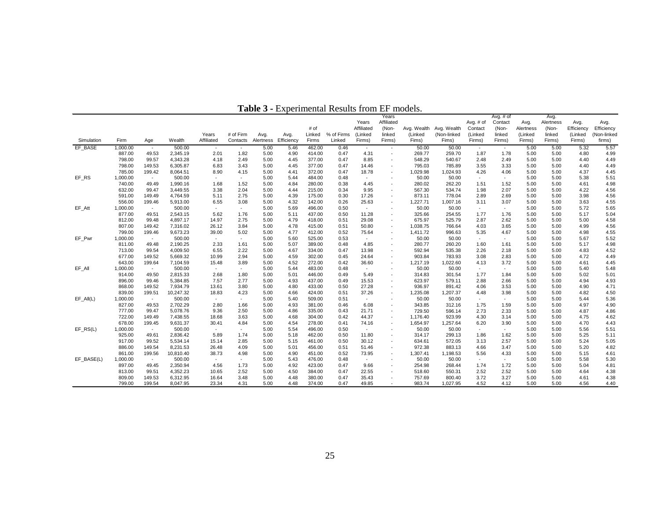|              |          |        |           |            |                |           |            |        |            |            | Years                    |                         |             |             | Avg. $#$ of              |           | Avg.      |            |             |
|--------------|----------|--------|-----------|------------|----------------|-----------|------------|--------|------------|------------|--------------------------|-------------------------|-------------|-------------|--------------------------|-----------|-----------|------------|-------------|
|              |          |        |           |            |                |           |            |        |            | Years      | Affiliated               |                         |             | Avg. $#$ of | Contact                  | Avg.      | Alertness | Avg.       | Avg.        |
|              |          |        |           |            |                |           |            | # of   |            | Affiliated | (Non-                    | Avg. Wealth Avg. Wealth |             | Contact     | (Non-                    | Alertness | (Non-     | Efficiency | Efficiency  |
|              |          |        |           | Years      | # of Firm      | Avg.      | Avg.       | Linked | % of Firms | (Linked    | linked                   | (Linked                 | (Non-linked | (Linked     | linked                   | (Linked   | linked    | (Linked    | (Non-linked |
| Simulation   | Firm     | Age    | Wealth    | Affiliated | Contacts       | Alertness | Efficiency | Firms  | Linked     | Firms)     | Firms)                   | Fims)                   | Fims)       | Firms)      | Firms)                   | Firms)    | Firms)    | Firms)     | firms)      |
| EF BASE      | 1,000.00 | $\sim$ | 500.00    | $\sim$     | $\sim$         | 5.00      | 5.46       | 462.00 | 0.46       | $\sim$     | $\overline{\phantom{a}}$ | 50.00                   | 50.00       | $\sim$      | $\overline{\phantom{a}}$ | 5.00      | 5.00      | 5.32       | 5.57        |
|              | 887.00   | 49.53  | 2,345.19  | 2.01       | 1.82           | 5.00      | 4.90       | 414.00 | 0.47       | 4.31       | $\sim$                   | 269.77                  | 259.70      | 1.87        | 1.78                     | 5.00      | 5.00      | 4.80       | 4.99        |
|              | 798.00   | 99.57  | 4,343.28  | 4.18       | 2.49           | 5.00      | 4.45       | 377.00 | 0.47       | 8.85       | $\overline{\phantom{a}}$ | 548.29                  | 540.67      | 2.48        | 2.49                     | 5.00      | 5.00      | 4.40       | 4.49        |
|              | 798.00   | 149.53 | 6,305.87  | 6.83       | 3.43           | 5.00      | 4.45       | 377.00 | 0.47       | 14.46      |                          | 795.03                  | 785.89      | 3.55        | 3.33                     | 5.00      | 5.00      | 4.40       | 4.49        |
|              | 785.00   | 199.42 | 8,064.51  | 8.90       | 4.15           | 5.00      | 4.41       | 372.00 | 0.47       | 18.78      | $\overline{a}$           | 1,029.98                | 1,024.93    | 4.26        | 4.06                     | 5.00      | 5.00      | 4.37       | 4.45        |
| EF_RS        | 1,000.00 | $\sim$ | 500.00    | $\sim$     | $\sim$         | 5.00      | 5.44       | 484.00 | 0.48       | $\sim$     |                          | 50.00                   | 50.00       | $\sim$      | $\sim$                   | 5.00      | 5.00      | 5.38       | 5.51        |
|              | 740.00   | 49.49  | 1,990.16  | 1.68       | 1.52           | 5.00      | 4.84       | 280.00 | 0.38       | 4.45       |                          | 280.02                  | 262.20      | 1.51        | 1.52                     | 5.00      | 5.00      | 4.61       | 4.98        |
|              | 632.00   | 99.47  | 3,449.55  | 3.38       | 2.04           | 5.00      | 4.44       | 215.00 | 0.34       | 9.95       |                          | 567.30                  | 534.74      | 1.98        | 2.07                     | 5.00      | 5.00      | 4.22       | 4.56        |
|              | 591.00   | 149.49 | 4,764.59  | 5.11       | 2.75           | 5.00      | 4.39       | 175.00 | 0.30       | 17.26      |                          | 873.11                  | 778.04      | 2.89        | 2.69                     | 5.00      | 5.00      | 3.98       | 4.56        |
|              | 556.00   | 199.46 | 5,913.00  | 6.55       | 3.08           | 5.00      | 4.32       | 142.00 | 0.26       | 25.63      |                          | 1,227.71                | 1,007.16    | 3.11        | 3.07                     | 5.00      | 5.00      | 3.63       | 4.55        |
| EF Att       | 1,000.00 | $\sim$ | 500.00    | $\sim$     | $\sim$         | 5.00      | 5.69       | 496.00 | 0.50       | $\sim$     |                          | 50.00                   | 50.00       | $\sim$      | $\sim$                   | 5.00      | 5.00      | 5.72       | 5.65        |
|              | 877.00   | 49.51  | 2,543.15  | 5.62       | 1.76           | 5.00      | 5.11       | 437.00 | 0.50       | 11.28      | $\overline{\phantom{a}}$ | 325.66                  | 254.55      | 1.77        | 1.76                     | 5.00      | 5.00      | 5.17       | 5.04        |
|              | 812.00   | 99.48  | 4,897.17  | 14.97      | 2.75           | 5.00      | 4.79       | 418.00 | 0.51       | 29.08      |                          | 675.97                  | 525.79      | 2.87        | 2.62                     | 5.00      | 5.00      | 5.00       | 4.58        |
|              | 807.00   | 149.42 | 7,316.02  | 26.12      | 3.84           | 5.00      | 4.78       | 415.00 | 0.51       | 50.80      | $\overline{\phantom{a}}$ | 1,038.75                | 766.64      | 4.03        | 3.65                     | 5.00      | 5.00      | 4.99       | 4.56        |
|              | 799.00   | 199.46 | 9,673.23  | 39.00      | 5.02           | 5.00      | 4.77       | 412.00 | 0.52       | 75.64      | $\overline{\phantom{a}}$ | 1,411.72                | 996.63      | 5.35        | 4.67                     | 5.00      | 5.00      | 4.98       | 4.55        |
| EF Pwr       | 1,000.00 | $\sim$ | 500.00    | $\sim$     | $\sim$         | 5.00      | 5.60       | 525.00 | 0.53       | $\sim$     |                          | 50.00                   | 50.00       | $\sim$      | $\sim$                   | 5.00      | 5.00      | 5.67       | 5.52        |
|              | 811.00   | 49.48  | 2,190.25  | 2.33       | 1.61           | 5.00      | 5.07       | 389.00 | 0.48       | 4.85       | $\overline{a}$           | 280.77                  | 260.20      | 1.60        | 1.61                     | 5.00      | 5.00      | 5.17       | 4.98        |
|              | 713.00   | 99.54  | 4,009.50  | 6.55       | 2.22           | 5.00      | 4.67       | 334.00 | 0.47       | 13.98      |                          | 592.94                  | 535.38      | 2.26        | 2.18                     | 5.00      | 5.00      | 4.83       | 4.52        |
|              | 677.00   | 149.52 | 5,669.32  | 10.99      | 2.94           | 5.00      | 4.59       | 302.00 | 0.45       | 24.64      |                          | 903.84                  | 783.93      | 3.08        | 2.83                     | 5.00      | 5.00      | 4.72       | 4.49        |
|              | 643.00   | 199.64 | 7,104.59  | 15.48      | 3.89           | 5.00      | 4.52       | 272.00 | 0.42       | 36.60      | $\overline{\phantom{a}}$ | 1,217.19                | 1,022.60    | 4.13        | 3.72                     | 5.00      | 5.00      | 4.61       | 4.45        |
| EF All       | 1,000.00 | $\sim$ | 500.00    | $\sim$     | $\sim$         | 5.00      | 5.44       | 483.00 | 0.48       | $\sim$     |                          | 50.00                   | 50.00       | $\sim$      | $\sim$                   | 5.00      | 5.00      | 5.40       | 5.48        |
|              | 914.00   | 49.50  | 2,815.33  | 2.68       | 1.80           | 5.00      | 5.01       | 446.00 | 0.49       | 5.49       |                          | 314.83                  | 301.54      | 1.77        | 1.84                     | 5.00      | 5.00      | 5.02       | 5.01        |
|              | 896.00   | 99.46  | 5,384.85  | 7.57       | 2.77           | 5.00      | 4.93       | 437.00 | 0.49       | 15.53      |                          | 623.97                  | 579.11      | 2.88        | 2.66                     | 5.00      | 5.00      | 4.94       | 4.93        |
|              | 868.00   | 149.52 | 7,934.79  | 13.61      | 3.80           | 5.00      | 4.80       | 433.00 | 0.50       | 27.28      |                          | 936.97                  | 891.42      | 4.06        | 3.53                     | 5.00      | 5.00      | 4.90       | 4.71        |
|              | 839.00   | 199.51 | 10,247.32 | 18.83      | 4.23           | 5.00      | 4.66       | 424.00 | 0.51       | 37.26      | $\overline{\phantom{a}}$ | 1,235.08                | 1,207.37    | 4.48        | 3.98                     | 5.00      | 5.00      | 4.82       | 4.50        |
| $EF\_All(L)$ | 1,000.00 | $\sim$ | 500.00    | $\sim$     | $\sim$         | 5.00      | 5.40       | 509.00 | 0.51       | $\sim$     |                          | 50.00                   | 50.00       | $\sim$      | $\sim$                   | 5.00      | 5.00      | 5.44       | 5.36        |
|              | 827.00   | 49.53  | 2,702.29  | 2.80       | 1.66           | 5.00      | 4.93       | 381.00 | 0.46       | 6.08       | $\overline{a}$           | 343.85                  | 312.16      | 1.75        | 1.59                     | 5.00      | 5.00      | 4.97       | 4.90        |
|              | 777.00   | 99.47  | 5,078.76  | 9.36       | 2.50           | 5.00      | 4.86       | 335.00 | 0.43       | 21.71      |                          | 729.50                  | 596.14      | 2.73        | 2.33                     | 5.00      | 5.00      | 4.87       | 4.86        |
|              | 722.00   | 149.49 | 7,438.55  | 18.68      | 3.63           | 5.00      | 4.68       | 304.00 | 0.42       | 44.37      | $\overline{\phantom{a}}$ | 1,176.40                | 923.99      | 4.30        | 3.14                     | 5.00      | 5.00      | 4.75       | 4.62        |
|              | 678.00   | 199.45 | 9,631.37  | 30.41      | 4.84           | 5.00      | 4.54       | 278.00 | 0.41       | 74.16      | $\overline{\phantom{a}}$ | 1,654.97                | 1,257.64    | 6.20        | 3.90                     | 5.00      | 5.00      | 4.70       | 4.43        |
| $EF$ RS(L)   | 1,000.00 | $\sim$ | 500.00    | $\sim$     | $\overline{a}$ | 5.00      | 5.54       | 496.00 | 0.50       | $\sim$     |                          | 50.00                   | 50.00       | $\sim$      | $\sim$                   | 5.00      | 5.00      | 5.56       | 5.51        |
|              | 925.00   | 49.61  | 2,836.42  | 5.89       | 1.74           | 5.00      | 5.18       | 462.00 | 0.50       | 11.80      |                          | 314.17                  | 299.13      | 1.86        | 1.62                     | 5.00      | 5.00      | 5.25       | 5.11        |
|              | 917.00   | 99.52  | 5,534.14  | 15.14      | 2.85           | 5.00      | 5.15       | 461.00 | 0.50       | 30.12      |                          | 634.61                  | 572.05      | 3.13        | 2.57                     | 5.00      | 5.00      | 5.24       | 5.05        |
|              | 886.00   | 149.54 | 8,231.53  | 26.48      | 4.09           | 5.00      | 5.01       | 456.00 | 0.51       | 51.46      |                          | 972.38                  | 883.13      | 4.66        | 3.47                     | 5.00      | 5.00      | 5.20       | 4.82        |
|              | 861.00   | 199.56 | 10,810.40 | 38.73      | 4.98           | 5.00      | 4.90       | 451.00 | 0.52       | 73.95      |                          | 1,307.41                | 1,198.53    | 5.56        | 4.33                     | 5.00      | 5.00      | 5.15       | 4.61        |
| EF BASE(L)   | 1,000.00 | $\sim$ | 500.00    | $\sim$     | $\sim$         | 5.00      | 5.43       | 476.00 | 0.48       | $\sim$     |                          | 50.00                   | 50.00       | $\sim$      | $\sim$                   | 5.00      | 5.00      | 5.58       | 5.30        |
|              | 897.00   | 49.45  | 2,350.94  | 4.56       | 1.73           | 5.00      | 4.92       | 423.00 | 0.47       | 9.66       |                          | 254.98                  | 268.44      | 1.74        | 1.72                     | 5.00      | 5.00      | 5.04       | 4.81        |
|              | 813.00   | 99.51  | 4,352.23  | 10.65      | 2.52           | 5.00      | 4.50       | 384.00 | 0.47       | 22.55      |                          | 518.60                  | 550.31      | 2.52        | 2.52                     | 5.00      | 5.00      | 4.64       | 4.38        |
|              | 809.00   | 149.53 | 6,312.95  | 16.64      | 3.48           | 5.00      | 4.48       | 380.00 | 0.47       | 35.43      |                          | 757.69                  | 800.40      | 3.72        | 3.27                     | 5.00      | 5.00      | 4.61       | 4.38        |
|              | 799.00   | 199.54 | 8.047.95  | 23.34      | 4.31           | 5.00      | 4.48       | 374.00 | 0.47       | 49.85      |                          | 983.74                  | 1.027.95    | 4.52        | 4.12                     | 5.00      | 5.00      | 4.56       | 4.40        |

**Table 3 -** Experimental Results from EF models.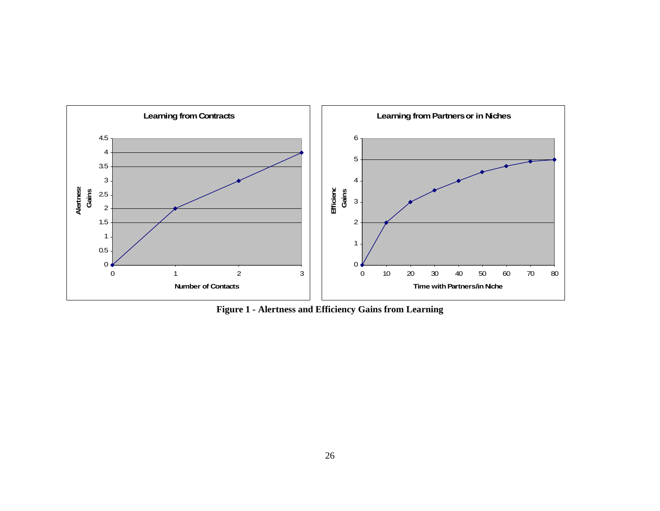

**Figure 1 - Alertness and Efficiency Gains from Learning**